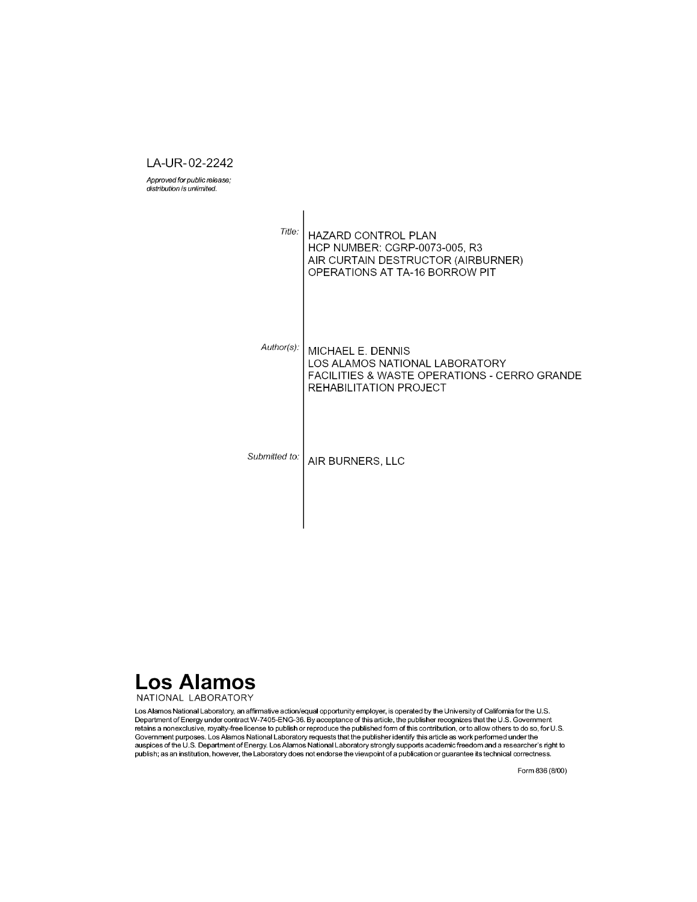LA-UR-02-2242

Approved for public release; distribution is unlimited.

 $\mathbf{r}$ 

| Title:        | <b>HAZARD CONTROL PLAN</b><br><b>HCP NUMBER: CGRP-0073-005, R3</b><br>AIR CURTAIN DESTRUCTOR (AIRBURNER)<br>OPERATIONS AT TA-16 BORROW PIT |
|---------------|--------------------------------------------------------------------------------------------------------------------------------------------|
| Author(s):    | MICHAEL E. DENNIS<br>LOS ALAMOS NATIONAL LABORATORY<br>FACILITIES & WASTE OPERATIONS - CERRO GRANDE<br>REHABILITATION PROJECT              |
| Submitted to: | AIR BURNERS, LLC                                                                                                                           |



Los Alamos National Laboratory, an affirmative action/equal opportunity employer, is operated by the University of California for the U.S.<br>Department of Energy under contract W-7405-ENG-36. By acceptance of this article, t Covernment purposes. Los Alamos National Laboratory requests that the publisher identify this article as work performed under the<br>auspices of the U.S. Department of Energy. Los Alamos National Laboratory strongly supports

Form 836 (8/00)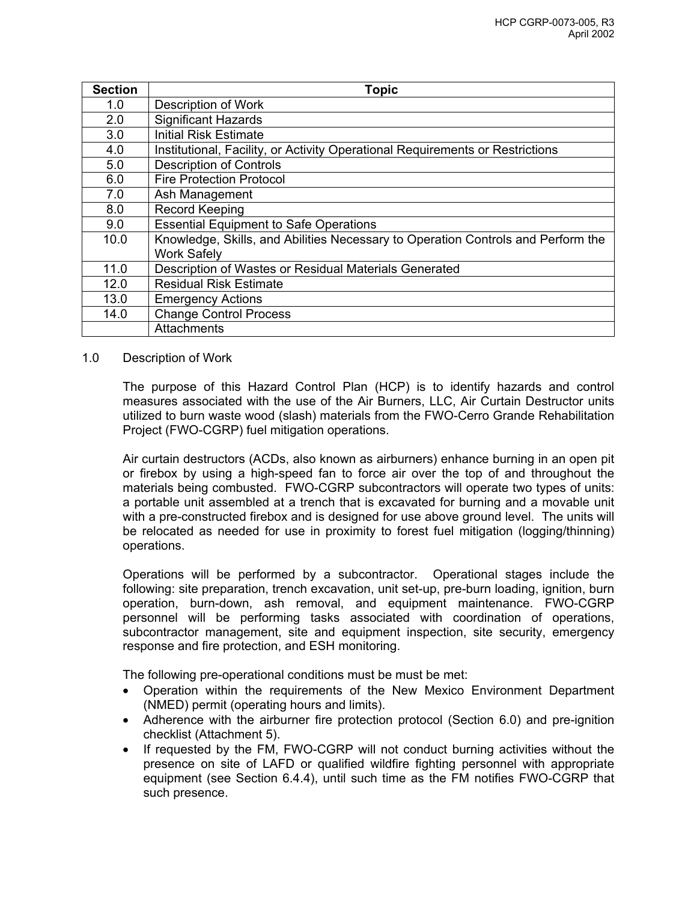| <b>Section</b> | <b>Topic</b>                                                                     |
|----------------|----------------------------------------------------------------------------------|
| 1.0            | <b>Description of Work</b>                                                       |
| 2.0            | <b>Significant Hazards</b>                                                       |
| 3.0            | <b>Initial Risk Estimate</b>                                                     |
| 4.0            | Institutional, Facility, or Activity Operational Requirements or Restrictions    |
| 5.0            | <b>Description of Controls</b>                                                   |
| 6.0            | <b>Fire Protection Protocol</b>                                                  |
| 7.0            | Ash Management                                                                   |
| 8.0            | <b>Record Keeping</b>                                                            |
| 9.0            | <b>Essential Equipment to Safe Operations</b>                                    |
| 10.0           | Knowledge, Skills, and Abilities Necessary to Operation Controls and Perform the |
|                | <b>Work Safely</b>                                                               |
| 11.0           | Description of Wastes or Residual Materials Generated                            |
| 12.0           | <b>Residual Risk Estimate</b>                                                    |
| 13.0           | <b>Emergency Actions</b>                                                         |
| 14.0           | <b>Change Control Process</b>                                                    |
|                | Attachments                                                                      |

#### 1.0 Description of Work

The purpose of this Hazard Control Plan (HCP) is to identify hazards and control measures associated with the use of the Air Burners, LLC, Air Curtain Destructor units utilized to burn waste wood (slash) materials from the FWO-Cerro Grande Rehabilitation Project (FWO-CGRP) fuel mitigation operations.

Air curtain destructors (ACDs, also known as airburners) enhance burning in an open pit or firebox by using a high-speed fan to force air over the top of and throughout the materials being combusted. FWO-CGRP subcontractors will operate two types of units: a portable unit assembled at a trench that is excavated for burning and a movable unit with a pre-constructed firebox and is designed for use above ground level. The units will be relocated as needed for use in proximity to forest fuel mitigation (logging/thinning) operations.

Operations will be performed by a subcontractor. Operational stages include the following: site preparation, trench excavation, unit set-up, pre-burn loading, ignition, burn operation, burn-down, ash removal, and equipment maintenance. FWO-CGRP personnel will be performing tasks associated with coordination of operations, subcontractor management, site and equipment inspection, site security, emergency response and fire protection, and ESH monitoring.

The following pre-operational conditions must be must be met:

- Operation within the requirements of the New Mexico Environment Department (NMED) permit (operating hours and limits).
- Adherence with the airburner fire protection protocol (Section 6.0) and pre-ignition checklist (Attachment 5).
- If requested by the FM, FWO-CGRP will not conduct burning activities without the presence on site of LAFD or qualified wildfire fighting personnel with appropriate equipment (see Section 6.4.4), until such time as the FM notifies FWO-CGRP that such presence.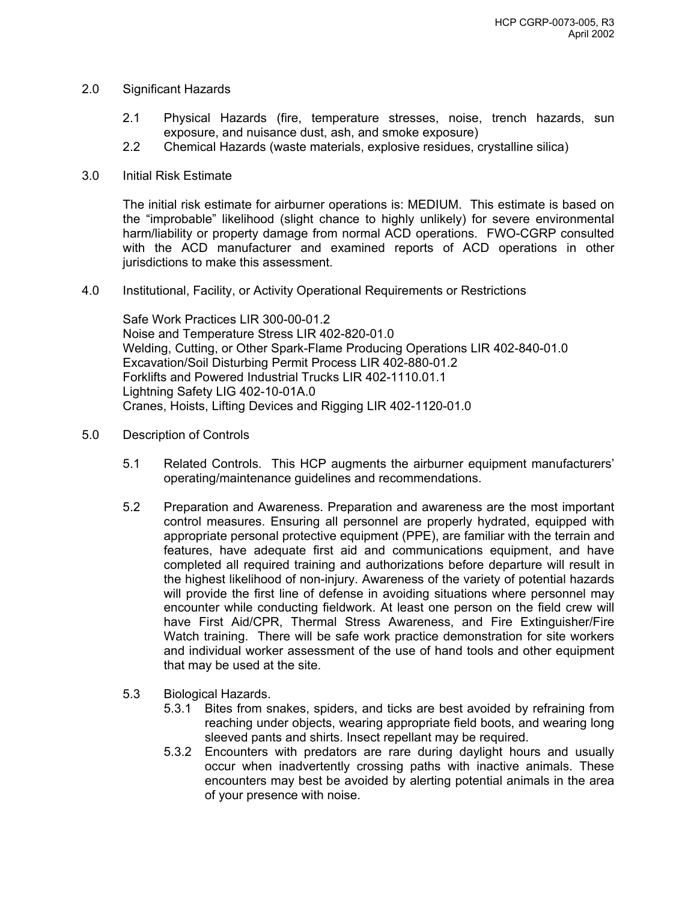#### 2.0 Significant Hazards

- 2.1 Physical Hazards (fire, temperature stresses, noise, trench hazards, sun exposure, and nuisance dust, ash, and smoke exposure)
- 2.2 Chemical Hazards (waste materials, explosive residues, crystalline silica)
- 3.0 Initial Risk Estimate

The initial risk estimate for airburner operations is: MEDIUM. This estimate is based on the "improbable" likelihood (slight chance to highly unlikely) for severe environmental harm/liability or property damage from normal ACD operations. FWO-CGRP consulted with the ACD manufacturer and examined reports of ACD operations in other jurisdictions to make this assessment.

4.0 Institutional, Facility, or Activity Operational Requirements or Restrictions

Safe Work Practices LIR 300-00-01.2 Noise and Temperature Stress LIR 402-820-01.0 Welding, Cutting, or Other Spark-Flame Producing Operations LIR 402-840-01.0 Excavation/Soil Disturbing Permit Process LIR 402-880-01.2 Forklifts and Powered Industrial Trucks LIR 402-1110.01.1 Lightning Safety LIG 402-10-01A.0 Cranes, Hoists, Lifting Devices and Rigging LIR 402-1120-01.0

- 5.0 Description of Controls
	- 5.1 Related Controls. This HCP augments the airburner equipment manufacturers' operating/maintenance guidelines and recommendations.
	- 5.2 Preparation and Awareness. Preparation and awareness are the most important control measures. Ensuring all personnel are properly hydrated, equipped with appropriate personal protective equipment (PPE), are familiar with the terrain and features, have adequate first aid and communications equipment, and have completed all required training and authorizations before departure will result in the highest likelihood of non-injury. Awareness of the variety of potential hazards will provide the first line of defense in avoiding situations where personnel may encounter while conducting fieldwork. At least one person on the field crew will have First Aid/CPR, Thermal Stress Awareness, and Fire Extinguisher/Fire Watch training. There will be safe work practice demonstration for site workers and individual worker assessment of the use of hand tools and other equipment that may be used at the site.
	- 5.3 Biological Hazards.
		- 5.3.1 Bites from snakes, spiders, and ticks are best avoided by refraining from reaching under objects, wearing appropriate field boots, and wearing long sleeved pants and shirts. Insect repellant may be required.
		- 5.3.2 Encounters with predators are rare during daylight hours and usually occur when inadvertently crossing paths with inactive animals. These encounters may best be avoided by alerting potential animals in the area of your presence with noise.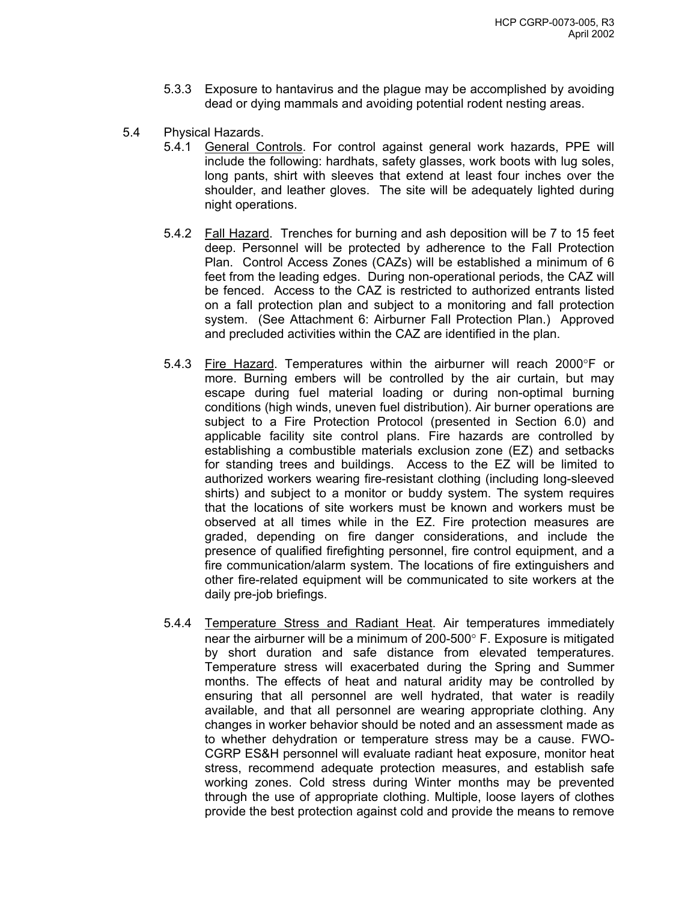- 5.3.3 Exposure to hantavirus and the plague may be accomplished by avoiding dead or dying mammals and avoiding potential rodent nesting areas.
- 5.4 Physical Hazards.
	- 5.4.1 General Controls. For control against general work hazards, PPE will include the following: hardhats, safety glasses, work boots with lug soles, long pants, shirt with sleeves that extend at least four inches over the shoulder, and leather gloves. The site will be adequately lighted during night operations.
	- 5.4.2 Fall Hazard. Trenches for burning and ash deposition will be 7 to 15 feet deep. Personnel will be protected by adherence to the Fall Protection Plan. Control Access Zones (CAZs) will be established a minimum of 6 feet from the leading edges. During non-operational periods, the CAZ will be fenced. Access to the CAZ is restricted to authorized entrants listed on a fall protection plan and subject to a monitoring and fall protection system. (See Attachment 6: Airburner Fall Protection Plan.) Approved and precluded activities within the CAZ are identified in the plan.
	- 5.4.3 Fire Hazard. Temperatures within the airburner will reach 2000°F or more. Burning embers will be controlled by the air curtain, but may escape during fuel material loading or during non-optimal burning conditions (high winds, uneven fuel distribution). Air burner operations are subject to a Fire Protection Protocol (presented in Section 6.0) and applicable facility site control plans. Fire hazards are controlled by establishing a combustible materials exclusion zone (EZ) and setbacks for standing trees and buildings. Access to the EZ will be limited to authorized workers wearing fire-resistant clothing (including long-sleeved shirts) and subject to a monitor or buddy system. The system requires that the locations of site workers must be known and workers must be observed at all times while in the EZ. Fire protection measures are graded, depending on fire danger considerations, and include the presence of qualified firefighting personnel, fire control equipment, and a fire communication/alarm system. The locations of fire extinguishers and other fire-related equipment will be communicated to site workers at the daily pre-job briefings.
	- 5.4.4 Temperature Stress and Radiant Heat. Air temperatures immediately near the airburner will be a minimum of 200-500° F. Exposure is mitigated by short duration and safe distance from elevated temperatures. Temperature stress will exacerbated during the Spring and Summer months. The effects of heat and natural aridity may be controlled by ensuring that all personnel are well hydrated, that water is readily available, and that all personnel are wearing appropriate clothing. Any changes in worker behavior should be noted and an assessment made as to whether dehydration or temperature stress may be a cause. FWO-CGRP ES&H personnel will evaluate radiant heat exposure, monitor heat stress, recommend adequate protection measures, and establish safe working zones. Cold stress during Winter months may be prevented through the use of appropriate clothing. Multiple, loose layers of clothes provide the best protection against cold and provide the means to remove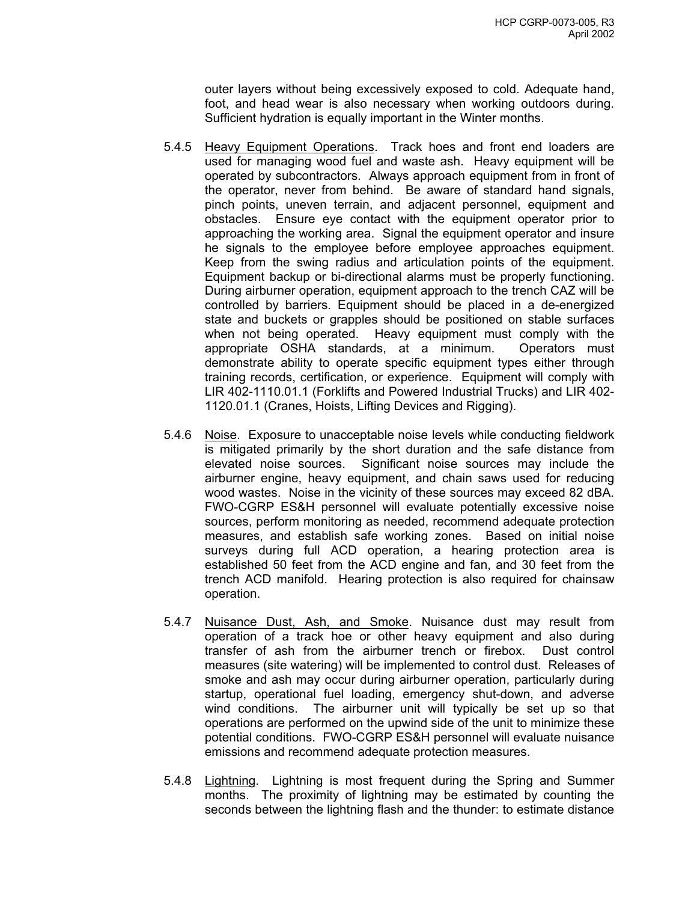outer layers without being excessively exposed to cold. Adequate hand, foot, and head wear is also necessary when working outdoors during. Sufficient hydration is equally important in the Winter months.

- 5.4.5 Heavy Equipment Operations. Track hoes and front end loaders are used for managing wood fuel and waste ash. Heavy equipment will be operated by subcontractors. Always approach equipment from in front of the operator, never from behind. Be aware of standard hand signals, pinch points, uneven terrain, and adjacent personnel, equipment and obstacles. Ensure eye contact with the equipment operator prior to approaching the working area. Signal the equipment operator and insure he signals to the employee before employee approaches equipment. Keep from the swing radius and articulation points of the equipment. Equipment backup or bi-directional alarms must be properly functioning. During airburner operation, equipment approach to the trench CAZ will be controlled by barriers. Equipment should be placed in a de-energized state and buckets or grapples should be positioned on stable surfaces when not being operated. Heavy equipment must comply with the appropriate OSHA standards, at a minimum. Operators must demonstrate ability to operate specific equipment types either through training records, certification, or experience. Equipment will comply with LIR 402-1110.01.1 (Forklifts and Powered Industrial Trucks) and LIR 402- 1120.01.1 (Cranes, Hoists, Lifting Devices and Rigging).
- 5.4.6 Noise. Exposure to unacceptable noise levels while conducting fieldwork is mitigated primarily by the short duration and the safe distance from elevated noise sources. Significant noise sources may include the airburner engine, heavy equipment, and chain saws used for reducing wood wastes. Noise in the vicinity of these sources may exceed 82 dBA. FWO-CGRP ES&H personnel will evaluate potentially excessive noise sources, perform monitoring as needed, recommend adequate protection measures, and establish safe working zones. Based on initial noise surveys during full ACD operation, a hearing protection area is established 50 feet from the ACD engine and fan, and 30 feet from the trench ACD manifold. Hearing protection is also required for chainsaw operation.
- 5.4.7 Nuisance Dust, Ash, and Smoke. Nuisance dust may result from operation of a track hoe or other heavy equipment and also during transfer of ash from the airburner trench or firebox. Dust control measures (site watering) will be implemented to control dust. Releases of smoke and ash may occur during airburner operation, particularly during startup, operational fuel loading, emergency shut-down, and adverse wind conditions. The airburner unit will typically be set up so that operations are performed on the upwind side of the unit to minimize these potential conditions. FWO-CGRP ES&H personnel will evaluate nuisance emissions and recommend adequate protection measures.
- 5.4.8 Lightning. Lightning is most frequent during the Spring and Summer months. The proximity of lightning may be estimated by counting the seconds between the lightning flash and the thunder: to estimate distance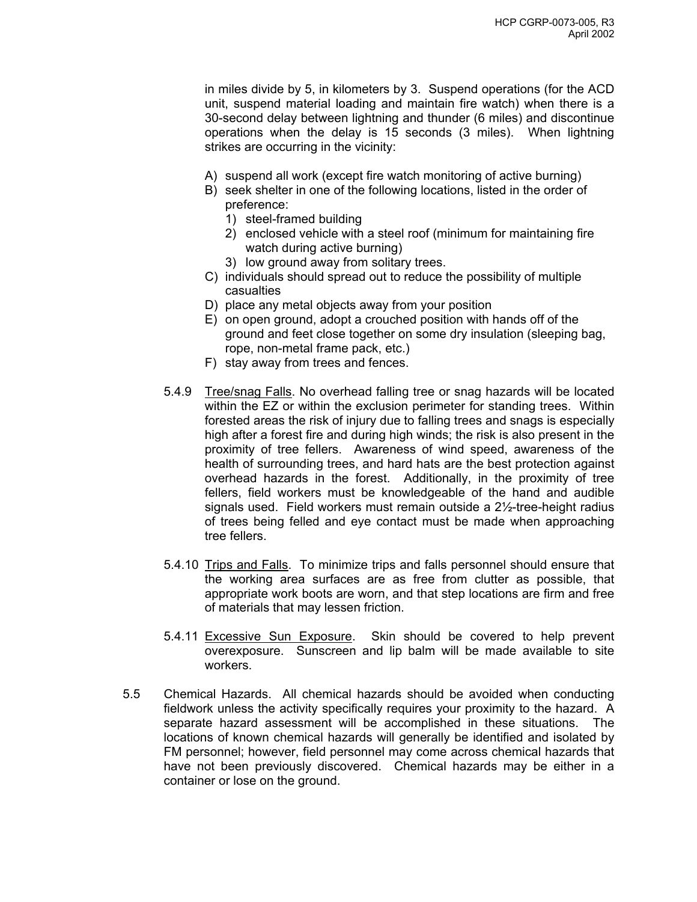in miles divide by 5, in kilometers by 3. Suspend operations (for the ACD unit, suspend material loading and maintain fire watch) when there is a 30-second delay between lightning and thunder (6 miles) and discontinue operations when the delay is 15 seconds (3 miles). When lightning strikes are occurring in the vicinity:

- A) suspend all work (except fire watch monitoring of active burning)
- B) seek shelter in one of the following locations, listed in the order of preference:
	- 1) steel-framed building
	- 2) enclosed vehicle with a steel roof (minimum for maintaining fire watch during active burning)
	- 3) low ground away from solitary trees.
- C) individuals should spread out to reduce the possibility of multiple casualties
- D) place any metal objects away from your position
- E) on open ground, adopt a crouched position with hands off of the ground and feet close together on some dry insulation (sleeping bag, rope, non-metal frame pack, etc.)
- F) stay away from trees and fences.
- 5.4.9 Tree/snag Falls. No overhead falling tree or snag hazards will be located within the EZ or within the exclusion perimeter for standing trees. Within forested areas the risk of injury due to falling trees and snags is especially high after a forest fire and during high winds; the risk is also present in the proximity of tree fellers. Awareness of wind speed, awareness of the health of surrounding trees, and hard hats are the best protection against overhead hazards in the forest. Additionally, in the proximity of tree fellers, field workers must be knowledgeable of the hand and audible signals used. Field workers must remain outside a 2½-tree-height radius of trees being felled and eye contact must be made when approaching tree fellers.
- 5.4.10 Trips and Falls. To minimize trips and falls personnel should ensure that the working area surfaces are as free from clutter as possible, that appropriate work boots are worn, and that step locations are firm and free of materials that may lessen friction.
- 5.4.11 Excessive Sun Exposure. Skin should be covered to help prevent overexposure. Sunscreen and lip balm will be made available to site workers.
- 5.5 Chemical Hazards. All chemical hazards should be avoided when conducting fieldwork unless the activity specifically requires your proximity to the hazard. A separate hazard assessment will be accomplished in these situations. The locations of known chemical hazards will generally be identified and isolated by FM personnel; however, field personnel may come across chemical hazards that have not been previously discovered. Chemical hazards may be either in a container or lose on the ground.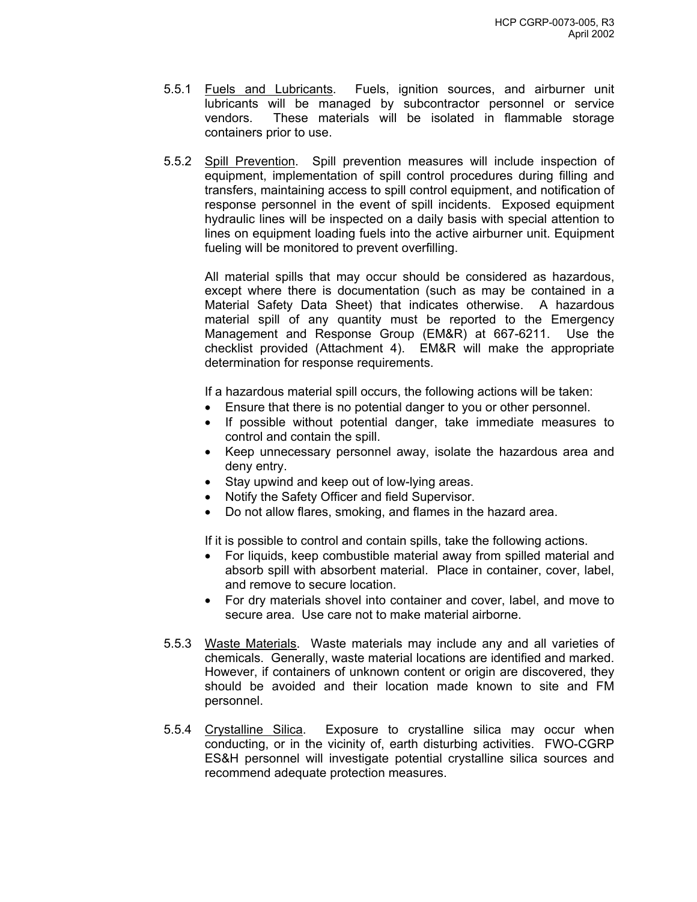- 5.5.1 Fuels and Lubricants. Fuels, ignition sources, and airburner unit lubricants will be managed by subcontractor personnel or service vendors. These materials will be isolated in flammable storage containers prior to use.
- 5.5.2 Spill Prevention. Spill prevention measures will include inspection of equipment, implementation of spill control procedures during filling and transfers, maintaining access to spill control equipment, and notification of response personnel in the event of spill incidents. Exposed equipment hydraulic lines will be inspected on a daily basis with special attention to lines on equipment loading fuels into the active airburner unit. Equipment fueling will be monitored to prevent overfilling.

All material spills that may occur should be considered as hazardous, except where there is documentation (such as may be contained in a Material Safety Data Sheet) that indicates otherwise. A hazardous material spill of any quantity must be reported to the Emergency Management and Response Group (EM&R) at 667-6211. Use the checklist provided (Attachment 4). EM&R will make the appropriate determination for response requirements.

If a hazardous material spill occurs, the following actions will be taken:

- Ensure that there is no potential danger to you or other personnel.
- If possible without potential danger, take immediate measures to control and contain the spill.
- Keep unnecessary personnel away, isolate the hazardous area and deny entry.
- Stay upwind and keep out of low-lying areas.
- Notify the Safety Officer and field Supervisor.
- Do not allow flares, smoking, and flames in the hazard area.

If it is possible to control and contain spills, take the following actions.

- For liquids, keep combustible material away from spilled material and absorb spill with absorbent material. Place in container, cover, label, and remove to secure location.
- For dry materials shovel into container and cover, label, and move to secure area. Use care not to make material airborne.
- 5.5.3 Waste Materials. Waste materials may include any and all varieties of chemicals. Generally, waste material locations are identified and marked. However, if containers of unknown content or origin are discovered, they should be avoided and their location made known to site and FM personnel.
- 5.5.4 Crystalline Silica. Exposure to crystalline silica may occur when conducting, or in the vicinity of, earth disturbing activities. FWO-CGRP ES&H personnel will investigate potential crystalline silica sources and recommend adequate protection measures.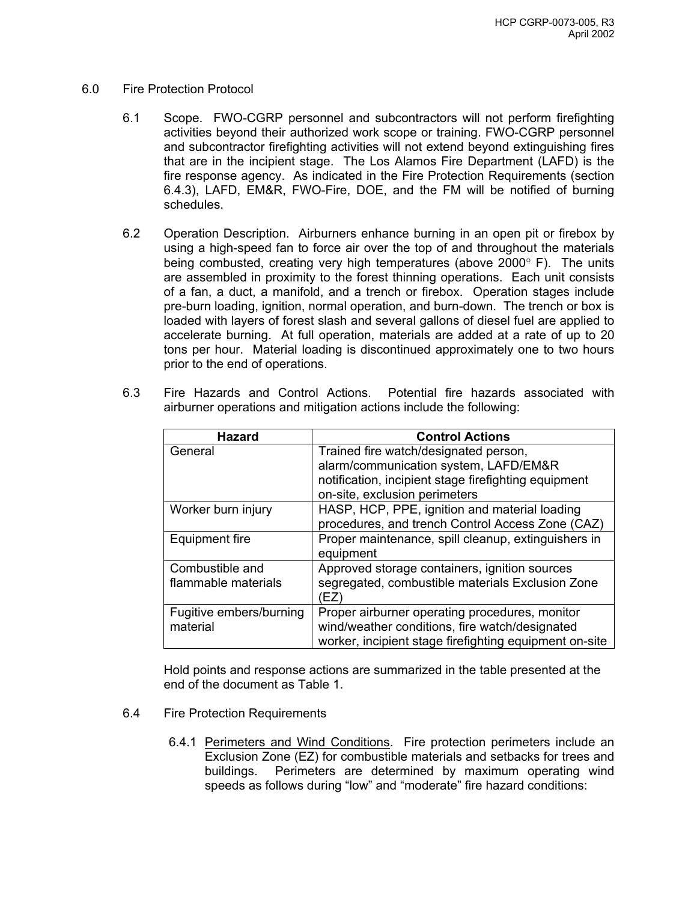#### 6.0 Fire Protection Protocol

- 6.1 Scope. FWO-CGRP personnel and subcontractors will not perform firefighting activities beyond their authorized work scope or training. FWO-CGRP personnel and subcontractor firefighting activities will not extend beyond extinguishing fires that are in the incipient stage. The Los Alamos Fire Department (LAFD) is the fire response agency. As indicated in the Fire Protection Requirements (section 6.4.3), LAFD, EM&R, FWO-Fire, DOE, and the FM will be notified of burning schedules.
- 6.2 Operation Description. Airburners enhance burning in an open pit or firebox by using a high-speed fan to force air over the top of and throughout the materials being combusted, creating very high temperatures (above 2000° F). The units are assembled in proximity to the forest thinning operations. Each unit consists of a fan, a duct, a manifold, and a trench or firebox. Operation stages include pre-burn loading, ignition, normal operation, and burn-down. The trench or box is loaded with layers of forest slash and several gallons of diesel fuel are applied to accelerate burning. At full operation, materials are added at a rate of up to 20 tons per hour. Material loading is discontinued approximately one to two hours prior to the end of operations.
- 6.3 Fire Hazards and Control Actions. Potential fire hazards associated with airburner operations and mitigation actions include the following:

| <b>Hazard</b>           | <b>Control Actions</b>                                 |  |  |
|-------------------------|--------------------------------------------------------|--|--|
| General                 | Trained fire watch/designated person,                  |  |  |
|                         | alarm/communication system, LAFD/EM&R                  |  |  |
|                         | notification, incipient stage firefighting equipment   |  |  |
|                         | on-site, exclusion perimeters                          |  |  |
| Worker burn injury      | HASP, HCP, PPE, ignition and material loading          |  |  |
|                         | procedures, and trench Control Access Zone (CAZ)       |  |  |
| Equipment fire          | Proper maintenance, spill cleanup, extinguishers in    |  |  |
|                         | equipment                                              |  |  |
| Combustible and         | Approved storage containers, ignition sources          |  |  |
| flammable materials     | segregated, combustible materials Exclusion Zone       |  |  |
|                         | EZ)                                                    |  |  |
| Fugitive embers/burning | Proper airburner operating procedures, monitor         |  |  |
| material                | wind/weather conditions, fire watch/designated         |  |  |
|                         | worker, incipient stage firefighting equipment on-site |  |  |

Hold points and response actions are summarized in the table presented at the end of the document as Table 1.

- 6.4 Fire Protection Requirements
	- 6.4.1 Perimeters and Wind Conditions. Fire protection perimeters include an Exclusion Zone (EZ) for combustible materials and setbacks for trees and buildings. Perimeters are determined by maximum operating wind speeds as follows during "low" and "moderate" fire hazard conditions: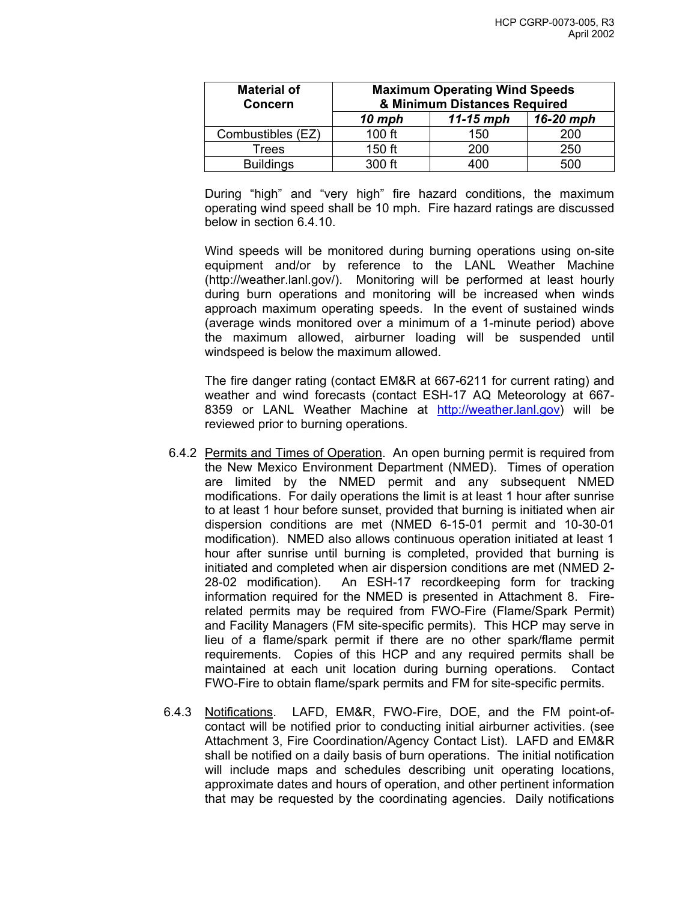| <b>Material of</b><br><b>Concern</b> | <b>Maximum Operating Wind Speeds</b><br>& Minimum Distances Required |     |     |  |
|--------------------------------------|----------------------------------------------------------------------|-----|-----|--|
|                                      | 16-20 mph<br>$11-15$ mph<br>$10$ mph                                 |     |     |  |
| Combustibles (EZ)                    | 100 ft                                                               | 150 | 200 |  |
| Trees                                | 150 ft                                                               | 200 | 250 |  |
| <b>Buildings</b>                     | $300$ ft                                                             | 400 | 500 |  |

During "high" and "very high" fire hazard conditions, the maximum operating wind speed shall be 10 mph. Fire hazard ratings are discussed below in section 6.4.10.

Wind speeds will be monitored during burning operations using on-site equipment and/or by reference to the LANL Weather Machine (http://weather.lanl.gov/). Monitoring will be performed at least hourly during burn operations and monitoring will be increased when winds approach maximum operating speeds. In the event of sustained winds (average winds monitored over a minimum of a 1-minute period) above the maximum allowed, airburner loading will be suspended until windspeed is below the maximum allowed.

The fire danger rating (contact EM&R at 667-6211 for current rating) and weather and wind forecasts (contact ESH-17 AQ Meteorology at 667- 8359 or LANL Weather Machine at [http://weather.lanl.gov\)](http://weather.lanl.gov/) will be reviewed prior to burning operations.

- 6.4.2 Permits and Times of Operation. An open burning permit is required from the New Mexico Environment Department (NMED). Times of operation are limited by the NMED permit and any subsequent NMED modifications. For daily operations the limit is at least 1 hour after sunrise to at least 1 hour before sunset, provided that burning is initiated when air dispersion conditions are met (NMED 6-15-01 permit and 10-30-01 modification). NMED also allows continuous operation initiated at least 1 hour after sunrise until burning is completed, provided that burning is initiated and completed when air dispersion conditions are met (NMED 2- 28-02 modification). An ESH-17 recordkeeping form for tracking information required for the NMED is presented in Attachment 8. Firerelated permits may be required from FWO-Fire (Flame/Spark Permit) and Facility Managers (FM site-specific permits). This HCP may serve in lieu of a flame/spark permit if there are no other spark/flame permit requirements. Copies of this HCP and any required permits shall be maintained at each unit location during burning operations. Contact FWO-Fire to obtain flame/spark permits and FM for site-specific permits.
- 6.4.3 Notifications. LAFD, EM&R, FWO-Fire, DOE, and the FM point-ofcontact will be notified prior to conducting initial airburner activities. (see Attachment 3, Fire Coordination/Agency Contact List). LAFD and EM&R shall be notified on a daily basis of burn operations. The initial notification will include maps and schedules describing unit operating locations, approximate dates and hours of operation, and other pertinent information that may be requested by the coordinating agencies. Daily notifications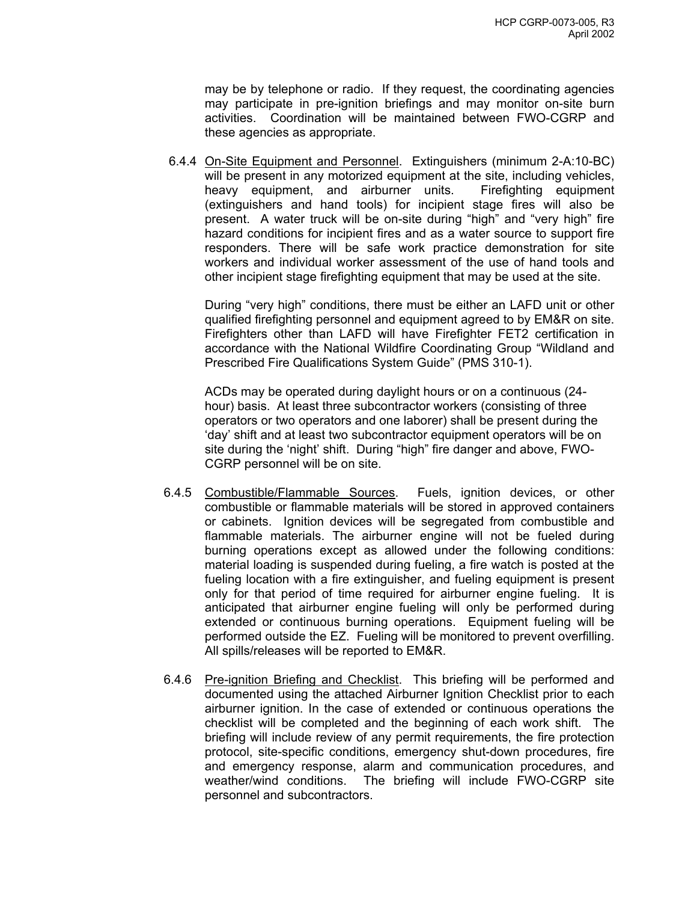may be by telephone or radio. If they request, the coordinating agencies may participate in pre-ignition briefings and may monitor on-site burn activities. Coordination will be maintained between FWO-CGRP and these agencies as appropriate.

6.4.4 On-Site Equipment and Personnel. Extinguishers (minimum 2-A:10-BC) will be present in any motorized equipment at the site, including vehicles, heavy equipment, and airburner units. Firefighting equipment (extinguishers and hand tools) for incipient stage fires will also be present. A water truck will be on-site during "high" and "very high" fire hazard conditions for incipient fires and as a water source to support fire responders. There will be safe work practice demonstration for site workers and individual worker assessment of the use of hand tools and other incipient stage firefighting equipment that may be used at the site.

During "very high" conditions, there must be either an LAFD unit or other qualified firefighting personnel and equipment agreed to by EM&R on site. Firefighters other than LAFD will have Firefighter FET2 certification in accordance with the National Wildfire Coordinating Group "Wildland and Prescribed Fire Qualifications System Guide" (PMS 310-1).

ACDs may be operated during daylight hours or on a continuous (24 hour) basis. At least three subcontractor workers (consisting of three operators or two operators and one laborer) shall be present during the 'day' shift and at least two subcontractor equipment operators will be on site during the 'night' shift. During "high" fire danger and above, FWO-CGRP personnel will be on site.

- 6.4.5 Combustible/Flammable Sources. Fuels, ignition devices, or other combustible or flammable materials will be stored in approved containers or cabinets. Ignition devices will be segregated from combustible and flammable materials. The airburner engine will not be fueled during burning operations except as allowed under the following conditions: material loading is suspended during fueling, a fire watch is posted at the fueling location with a fire extinguisher, and fueling equipment is present only for that period of time required for airburner engine fueling. It is anticipated that airburner engine fueling will only be performed during extended or continuous burning operations. Equipment fueling will be performed outside the EZ. Fueling will be monitored to prevent overfilling. All spills/releases will be reported to EM&R.
- 6.4.6 Pre-ignition Briefing and Checklist. This briefing will be performed and documented using the attached Airburner Ignition Checklist prior to each airburner ignition. In the case of extended or continuous operations the checklist will be completed and the beginning of each work shift. The briefing will include review of any permit requirements, the fire protection protocol, site-specific conditions, emergency shut-down procedures, fire and emergency response, alarm and communication procedures, and weather/wind conditions. The briefing will include FWO-CGRP site personnel and subcontractors.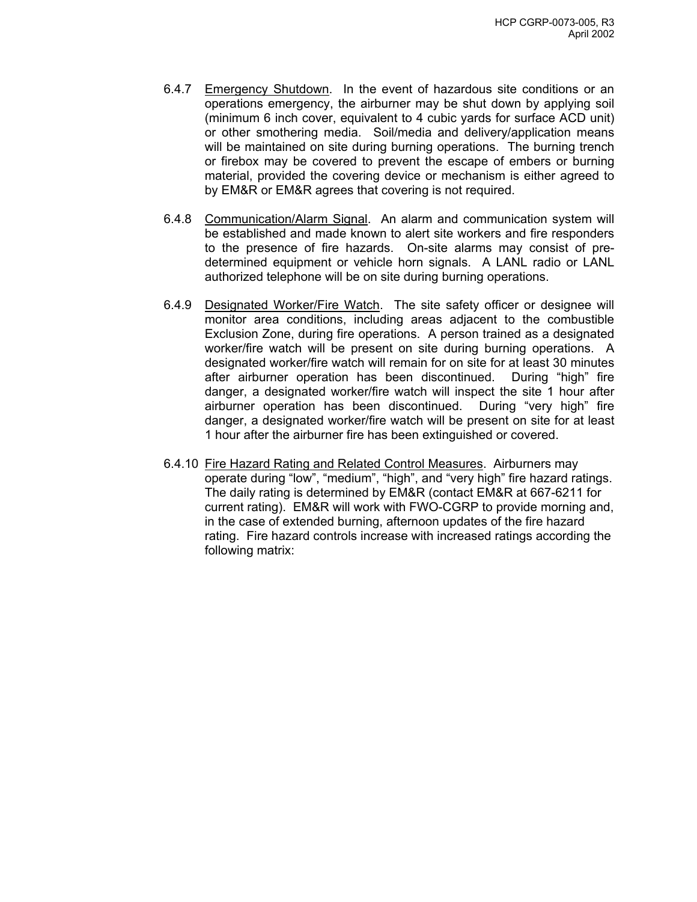- 6.4.7 Emergency Shutdown. In the event of hazardous site conditions or an operations emergency, the airburner may be shut down by applying soil (minimum 6 inch cover, equivalent to 4 cubic yards for surface ACD unit) or other smothering media. Soil/media and delivery/application means will be maintained on site during burning operations. The burning trench or firebox may be covered to prevent the escape of embers or burning material, provided the covering device or mechanism is either agreed to by EM&R or EM&R agrees that covering is not required.
- 6.4.8 Communication/Alarm Signal. An alarm and communication system will be established and made known to alert site workers and fire responders to the presence of fire hazards. On-site alarms may consist of predetermined equipment or vehicle horn signals. A LANL radio or LANL authorized telephone will be on site during burning operations.
- 6.4.9 Designated Worker/Fire Watch. The site safety officer or designee will monitor area conditions, including areas adjacent to the combustible Exclusion Zone, during fire operations. A person trained as a designated worker/fire watch will be present on site during burning operations. A designated worker/fire watch will remain for on site for at least 30 minutes after airburner operation has been discontinued. During "high" fire danger, a designated worker/fire watch will inspect the site 1 hour after airburner operation has been discontinued. During "very high" fire danger, a designated worker/fire watch will be present on site for at least 1 hour after the airburner fire has been extinguished or covered.
- 6.4.10 Fire Hazard Rating and Related Control Measures. Airburners may operate during "low", "medium", "high", and "very high" fire hazard ratings. The daily rating is determined by EM&R (contact EM&R at 667-6211 for current rating). EM&R will work with FWO-CGRP to provide morning and, in the case of extended burning, afternoon updates of the fire hazard rating. Fire hazard controls increase with increased ratings according the following matrix: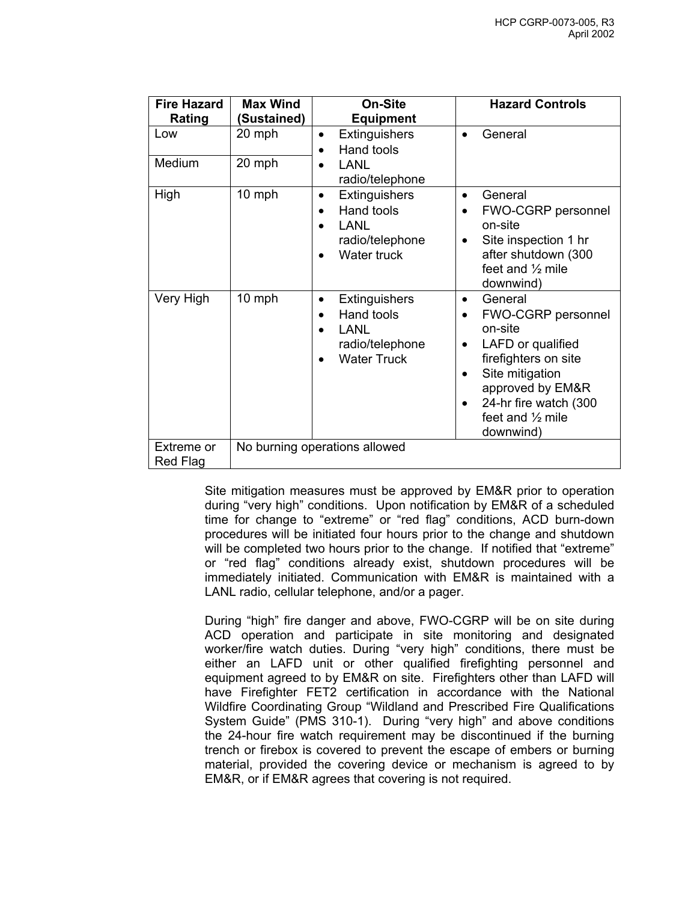| <b>Fire Hazard</b>     | <b>Max Wind</b> | <b>On-Site</b>                                                                                                      | <b>Hazard Controls</b>                                                                                                                                                                                                                      |
|------------------------|-----------------|---------------------------------------------------------------------------------------------------------------------|---------------------------------------------------------------------------------------------------------------------------------------------------------------------------------------------------------------------------------------------|
| <b>Rating</b>          | Sustained)      | <b>Equipment</b>                                                                                                    |                                                                                                                                                                                                                                             |
| Low                    | 20 mph          | Extinguishers<br>$\bullet$<br>Hand tools<br>$\bullet$                                                               | General                                                                                                                                                                                                                                     |
| Medium                 | 20 mph          | <b>LANL</b><br>radio/telephone                                                                                      |                                                                                                                                                                                                                                             |
| High                   | 10 mph          | Extinguishers<br>$\bullet$<br>Hand tools<br>$\bullet$<br><b>LANL</b><br>radio/telephone<br>Water truck<br>$\bullet$ | General<br>$\bullet$<br><b>FWO-CGRP personnel</b><br>on-site<br>Site inspection 1 hr<br>$\bullet$<br>after shutdown (300<br>feet and $\frac{1}{2}$ mile<br>downwind)                                                                        |
| Very High              | 10 mph          | Extinguishers<br>$\bullet$<br>Hand tools<br><b>LANL</b><br>radio/telephone<br><b>Water Truck</b><br>$\bullet$       | General<br>$\bullet$<br>FWO-CGRP personnel<br>$\bullet$<br>on-site<br>LAFD or qualified<br>$\bullet$<br>firefighters on site<br>Site mitigation<br>$\bullet$<br>approved by EM&R<br>24-hr fire watch (300<br>feet and 1/2 mile<br>downwind) |
| Extreme or<br>Red Flag |                 | No burning operations allowed                                                                                       |                                                                                                                                                                                                                                             |

Site mitigation measures must be approved by EM&R prior to operation during "very high" conditions. Upon notification by EM&R of a scheduled time for change to "extreme" or "red flag" conditions, ACD burn-down procedures will be initiated four hours prior to the change and shutdown will be completed two hours prior to the change. If notified that "extreme" or "red flag" conditions already exist, shutdown procedures will be immediately initiated. Communication with EM&R is maintained with a LANL radio, cellular telephone, and/or a pager.

During "high" fire danger and above, FWO-CGRP will be on site during ACD operation and participate in site monitoring and designated worker/fire watch duties. During "very high" conditions, there must be either an LAFD unit or other qualified firefighting personnel and equipment agreed to by EM&R on site. Firefighters other than LAFD will have Firefighter FET2 certification in accordance with the National Wildfire Coordinating Group "Wildland and Prescribed Fire Qualifications System Guide" (PMS 310-1). During "very high" and above conditions the 24-hour fire watch requirement may be discontinued if the burning trench or firebox is covered to prevent the escape of embers or burning material, provided the covering device or mechanism is agreed to by EM&R, or if EM&R agrees that covering is not required.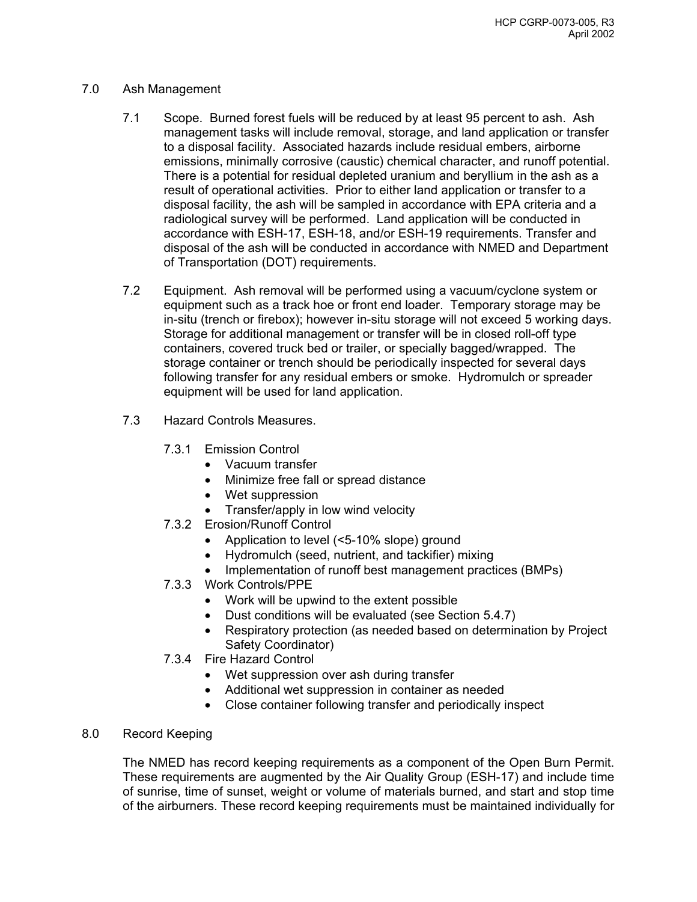## 7.0 Ash Management

- 7.1 Scope. Burned forest fuels will be reduced by at least 95 percent to ash. Ash management tasks will include removal, storage, and land application or transfer to a disposal facility. Associated hazards include residual embers, airborne emissions, minimally corrosive (caustic) chemical character, and runoff potential. There is a potential for residual depleted uranium and beryllium in the ash as a result of operational activities. Prior to either land application or transfer to a disposal facility, the ash will be sampled in accordance with EPA criteria and a radiological survey will be performed. Land application will be conducted in accordance with ESH-17, ESH-18, and/or ESH-19 requirements. Transfer and disposal of the ash will be conducted in accordance with NMED and Department of Transportation (DOT) requirements.
- 7.2 Equipment. Ash removal will be performed using a vacuum/cyclone system or equipment such as a track hoe or front end loader. Temporary storage may be in-situ (trench or firebox); however in-situ storage will not exceed 5 working days. Storage for additional management or transfer will be in closed roll-off type containers, covered truck bed or trailer, or specially bagged/wrapped. The storage container or trench should be periodically inspected for several days following transfer for any residual embers or smoke. Hydromulch or spreader equipment will be used for land application.
- 7.3 Hazard Controls Measures.
	- 7.3.1 Emission Control
		- Vacuum transfer
		- Minimize free fall or spread distance
		- Wet suppression
		- Transfer/apply in low wind velocity
	- 7.3.2 Erosion/Runoff Control
		- Application to level (<5-10% slope) ground
		- Hydromulch (seed, nutrient, and tackifier) mixing
		- Implementation of runoff best management practices (BMPs)
	- 7.3.3 Work Controls/PPE
		- Work will be upwind to the extent possible
		- Dust conditions will be evaluated (see Section 5.4.7)
		- Respiratory protection (as needed based on determination by Project Safety Coordinator)
	- 7.3.4 Fire Hazard Control
		- Wet suppression over ash during transfer
		- Additional wet suppression in container as needed
		- Close container following transfer and periodically inspect
- 8.0 Record Keeping

The NMED has record keeping requirements as a component of the Open Burn Permit. These requirements are augmented by the Air Quality Group (ESH-17) and include time of sunrise, time of sunset, weight or volume of materials burned, and start and stop time of the airburners. These record keeping requirements must be maintained individually for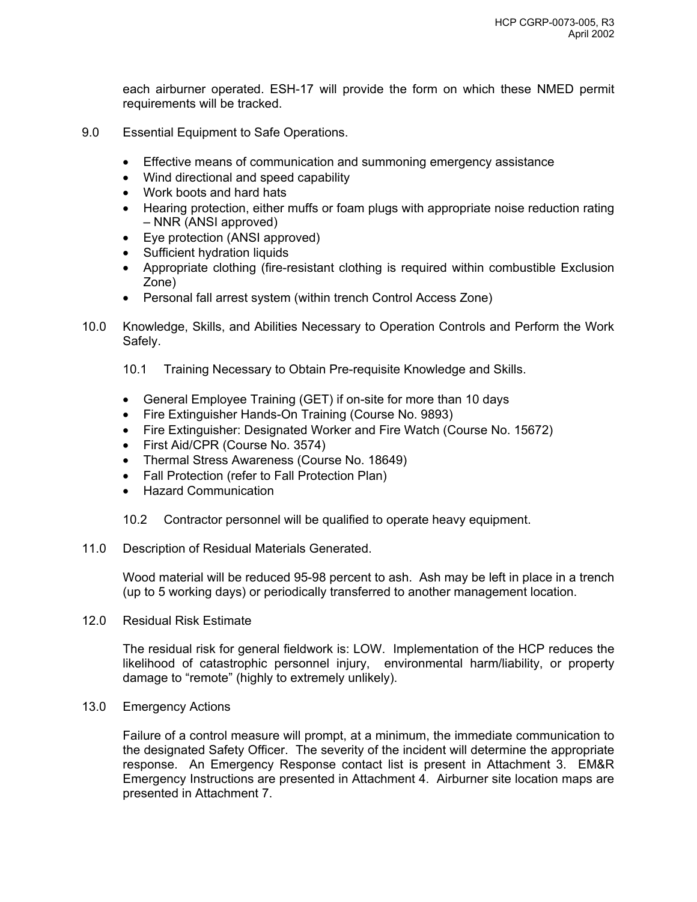each airburner operated. ESH-17 will provide the form on which these NMED permit requirements will be tracked.

- 9.0 Essential Equipment to Safe Operations.
	- Effective means of communication and summoning emergency assistance
	- Wind directional and speed capability
	- Work boots and hard hats
	- Hearing protection, either muffs or foam plugs with appropriate noise reduction rating – NNR (ANSI approved)
	- Eye protection (ANSI approved)
	- Sufficient hydration liquids
	- Appropriate clothing (fire-resistant clothing is required within combustible Exclusion Zone)
	- Personal fall arrest system (within trench Control Access Zone)
- 10.0 Knowledge, Skills, and Abilities Necessary to Operation Controls and Perform the Work Safely.
	- 10.1 Training Necessary to Obtain Pre-requisite Knowledge and Skills.
	- General Employee Training (GET) if on-site for more than 10 days
	- Fire Extinguisher Hands-On Training (Course No. 9893)
	- Fire Extinguisher: Designated Worker and Fire Watch (Course No. 15672)
	- First Aid/CPR (Course No. 3574)
	- Thermal Stress Awareness (Course No. 18649)
	- Fall Protection (refer to Fall Protection Plan)
	- Hazard Communication
	- 10.2 Contractor personnel will be qualified to operate heavy equipment.
- 11.0 Description of Residual Materials Generated.

Wood material will be reduced 95-98 percent to ash. Ash may be left in place in a trench (up to 5 working days) or periodically transferred to another management location.

12.0 Residual Risk Estimate

The residual risk for general fieldwork is: LOW. Implementation of the HCP reduces the likelihood of catastrophic personnel injury, environmental harm/liability, or property damage to "remote" (highly to extremely unlikely).

13.0 Emergency Actions

Failure of a control measure will prompt, at a minimum, the immediate communication to the designated Safety Officer. The severity of the incident will determine the appropriate response. An Emergency Response contact list is present in Attachment 3. EM&R Emergency Instructions are presented in Attachment 4. Airburner site location maps are presented in Attachment 7.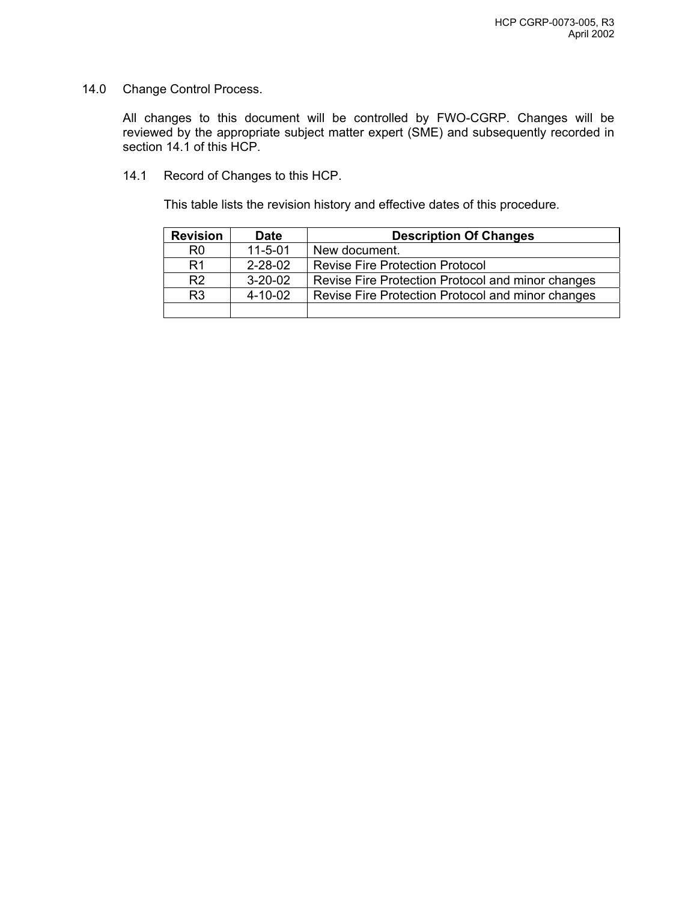14.0 Change Control Process.

All changes to this document will be controlled by FWO-CGRP. Changes will be reviewed by the appropriate subject matter expert (SME) and subsequently recorded in section 14.1 of this HCP.

14.1 Record of Changes to this HCP.

This table lists the revision history and effective dates of this procedure.

| <b>Revision</b> | <b>Date</b>   | <b>Description Of Changes</b>                     |
|-----------------|---------------|---------------------------------------------------|
| R <sub>0</sub>  | $11 - 5 - 01$ | New document.                                     |
| R1              | $2 - 28 - 02$ | <b>Revise Fire Protection Protocol</b>            |
| R <sub>2</sub>  | $3 - 20 - 02$ | Revise Fire Protection Protocol and minor changes |
| R <sub>3</sub>  | $4 - 10 - 02$ | Revise Fire Protection Protocol and minor changes |
|                 |               |                                                   |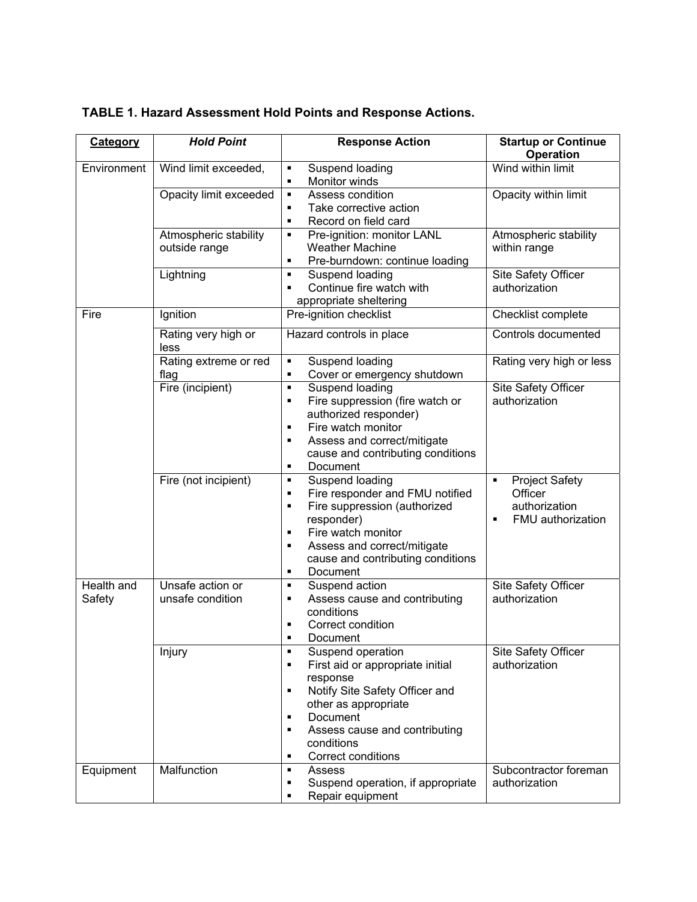| Category             | <b>Hold Point</b>                      | <b>Response Action</b>                                                                                                                                                                                                                                               | <b>Startup or Continue</b><br><b>Operation</b>                                                |
|----------------------|----------------------------------------|----------------------------------------------------------------------------------------------------------------------------------------------------------------------------------------------------------------------------------------------------------------------|-----------------------------------------------------------------------------------------------|
| Environment          | Wind limit exceeded,                   | Suspend loading<br>٠<br>Monitor winds<br>$\blacksquare$                                                                                                                                                                                                              | Wind within limit                                                                             |
|                      | Opacity limit exceeded                 | Assess condition<br>$\blacksquare$<br>Take corrective action<br>$\blacksquare$<br>Record on field card<br>$\blacksquare$                                                                                                                                             | Opacity within limit                                                                          |
|                      | Atmospheric stability<br>outside range | Pre-ignition: monitor LANL<br>٠<br><b>Weather Machine</b><br>Pre-burndown: continue loading<br>π                                                                                                                                                                     | Atmospheric stability<br>within range                                                         |
|                      | Lightning                              | Suspend loading<br>π<br>Continue fire watch with<br>$\blacksquare$<br>appropriate sheltering                                                                                                                                                                         | Site Safety Officer<br>authorization                                                          |
| Fire                 | Ignition                               | Pre-ignition checklist                                                                                                                                                                                                                                               | Checklist complete                                                                            |
|                      | Rating very high or<br>less            | Hazard controls in place                                                                                                                                                                                                                                             | Controls documented                                                                           |
|                      | Rating extreme or red<br>flag          | Suspend loading<br>π<br>Cover or emergency shutdown<br>٠                                                                                                                                                                                                             | Rating very high or less                                                                      |
|                      | Fire (incipient)                       | Suspend loading<br>$\blacksquare$<br>Fire suppression (fire watch or<br>٠<br>authorized responder)<br>Fire watch monitor<br>٠<br>Assess and correct/mitigate<br>$\blacksquare$<br>cause and contributing conditions<br>Document<br>٠                                 | Site Safety Officer<br>authorization                                                          |
|                      | Fire (not incipient)                   | Suspend loading<br>٠<br>Fire responder and FMU notified<br>$\blacksquare$<br>Fire suppression (authorized<br>$\blacksquare$<br>responder)<br>Fire watch monitor<br>π<br>Assess and correct/mitigate<br>٠<br>cause and contributing conditions<br>Document<br>٠       | <b>Project Safety</b><br>٠<br>Officer<br>authorization<br>FMU authorization<br>$\blacksquare$ |
| Health and<br>Safety | Unsafe action or<br>unsafe condition   | Suspend action<br>π<br>Assess cause and contributing<br>٠<br>conditions<br>Correct condition<br>п<br>Document<br>٠                                                                                                                                                   | Site Safety Officer<br>authorization                                                          |
|                      | Injury                                 | Suspend operation<br>٠<br>First aid or appropriate initial<br>$\blacksquare$<br>response<br>Notify Site Safety Officer and<br>$\blacksquare$<br>other as appropriate<br>Document<br>٠<br>Assess cause and contributing<br>٠<br>conditions<br>Correct conditions<br>٠ | Site Safety Officer<br>authorization                                                          |
| Equipment            | Malfunction                            | Assess<br>٠<br>Suspend operation, if appropriate<br>٠<br>Repair equipment                                                                                                                                                                                            | Subcontractor foreman<br>authorization                                                        |

# **TABLE 1. Hazard Assessment Hold Points and Response Actions.**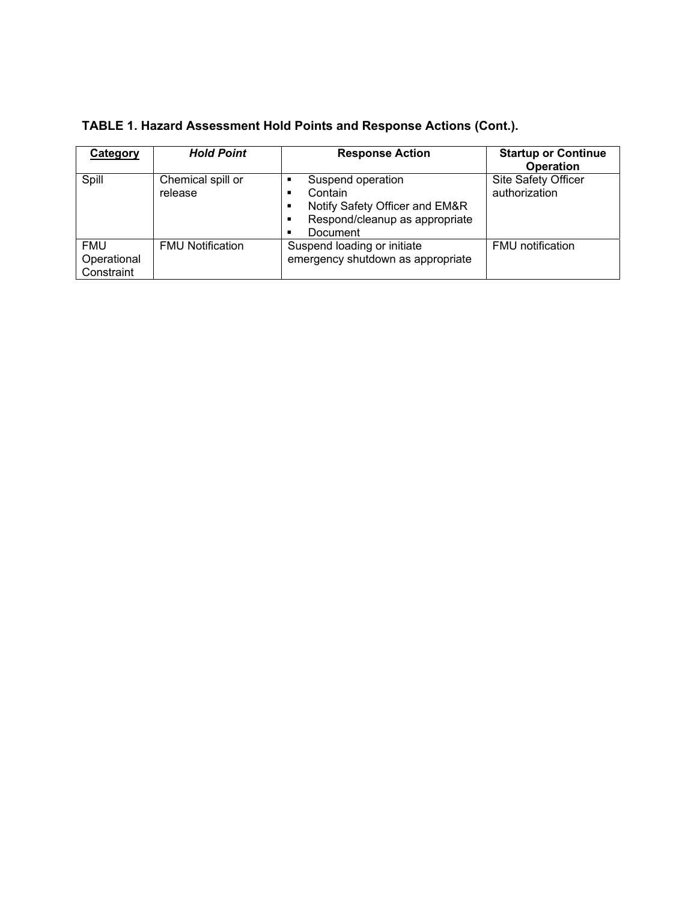| Category                                | <b>Hold Point</b>            | <b>Response Action</b>                                                                                                                | <b>Startup or Continue</b><br><b>Operation</b> |
|-----------------------------------------|------------------------------|---------------------------------------------------------------------------------------------------------------------------------------|------------------------------------------------|
| Spill                                   | Chemical spill or<br>release | Suspend operation<br>п<br>Contain<br>п<br>Notify Safety Officer and EM&R<br>п<br>Respond/cleanup as appropriate<br>п<br>Document<br>п | <b>Site Safety Officer</b><br>authorization    |
| <b>FMU</b><br>Operational<br>Constraint | <b>FMU Notification</b>      | Suspend loading or initiate<br>emergency shutdown as appropriate                                                                      | <b>FMU</b> notification                        |

| <b>TABLE 1. Hazard Assessment Hold Points and Response Actions (Cont.).</b> |  |
|-----------------------------------------------------------------------------|--|
|-----------------------------------------------------------------------------|--|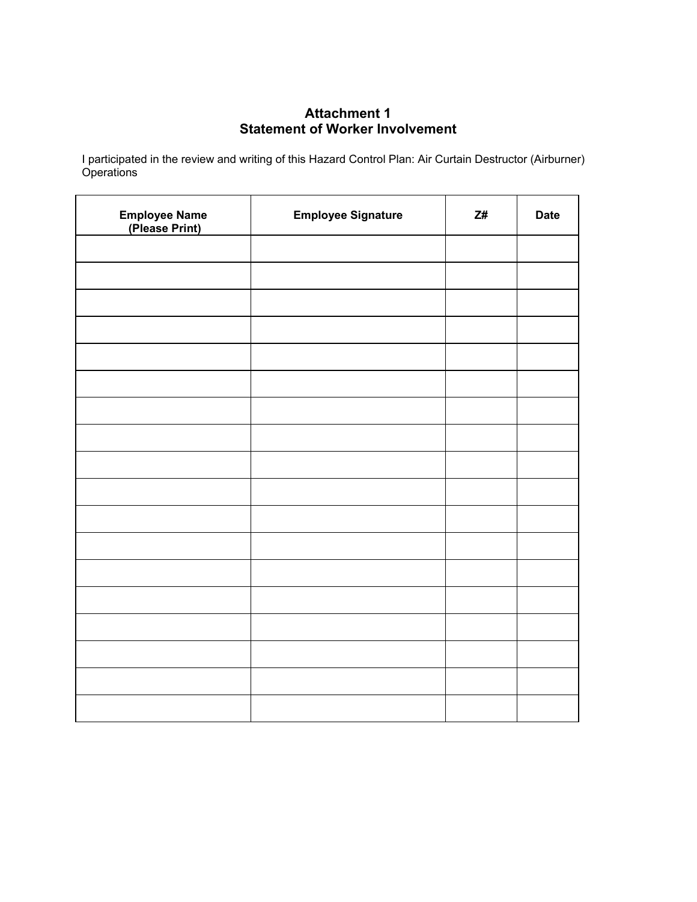# **Attachment 1 Statement of Worker Involvement**

I participated in the review and writing of this Hazard Control Plan: Air Curtain Destructor (Airburner) **Operations** 

| <b>Employee Name</b><br>(Please Print) | <b>Employee Signature</b> | $\mathsf{Z}\#$ | <b>Date</b> |
|----------------------------------------|---------------------------|----------------|-------------|
|                                        |                           |                |             |
|                                        |                           |                |             |
|                                        |                           |                |             |
|                                        |                           |                |             |
|                                        |                           |                |             |
|                                        |                           |                |             |
|                                        |                           |                |             |
|                                        |                           |                |             |
|                                        |                           |                |             |
|                                        |                           |                |             |
|                                        |                           |                |             |
|                                        |                           |                |             |
|                                        |                           |                |             |
|                                        |                           |                |             |
|                                        |                           |                |             |
|                                        |                           |                |             |
|                                        |                           |                |             |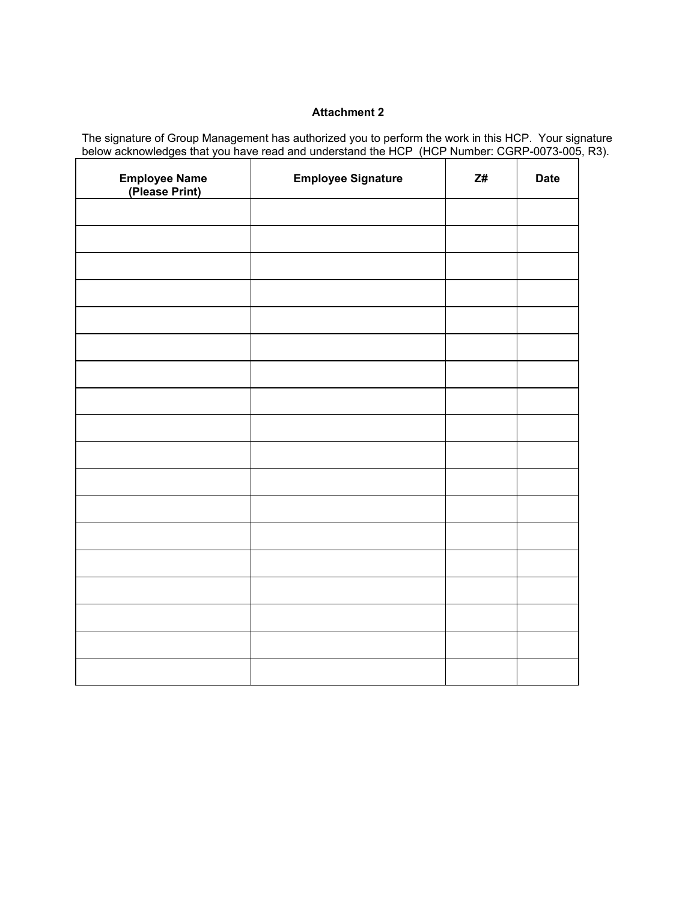The signature of Group Management has authorized you to perform the work in this HCP. Your signature below acknowledges that you have read and understand the HCP (HCP Number: CGRP-0073-005, R3).

| <b>Employee Name</b><br>(Please Print) | <b>Employee Signature</b> | Z# | <b>Date</b> |
|----------------------------------------|---------------------------|----|-------------|
|                                        |                           |    |             |
|                                        |                           |    |             |
|                                        |                           |    |             |
|                                        |                           |    |             |
|                                        |                           |    |             |
|                                        |                           |    |             |
|                                        |                           |    |             |
|                                        |                           |    |             |
|                                        |                           |    |             |
|                                        |                           |    |             |
|                                        |                           |    |             |
|                                        |                           |    |             |
|                                        |                           |    |             |
|                                        |                           |    |             |
|                                        |                           |    |             |
|                                        |                           |    |             |
|                                        |                           |    |             |
|                                        |                           |    |             |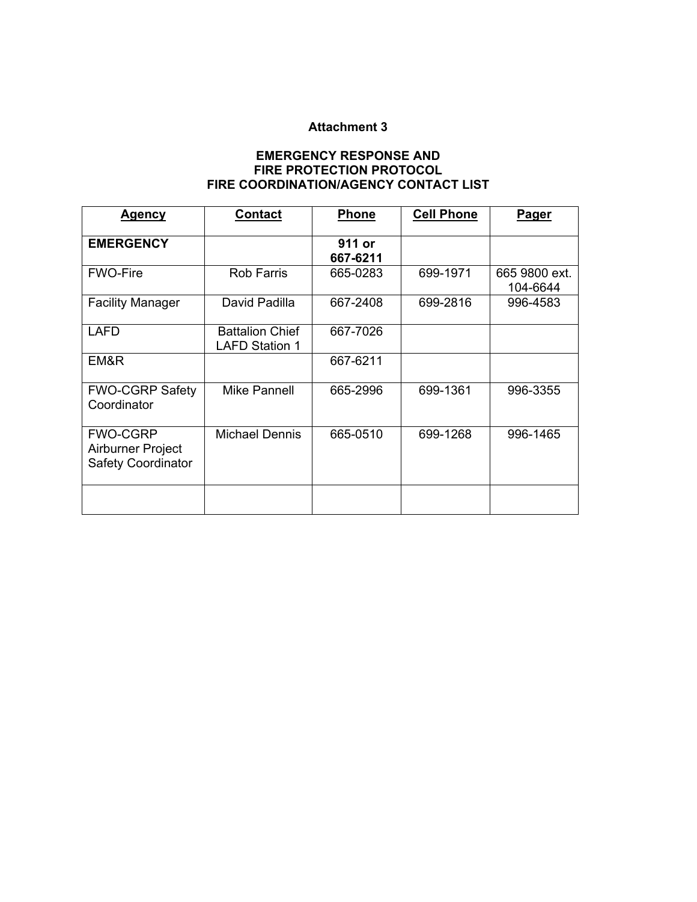# **EMERGENCY RESPONSE AND FIRE PROTECTION PROTOCOL FIRE COORDINATION/AGENCY CONTACT LIST**

| <u>Agency</u>                                                     | <b>Contact</b>                                  | <b>Phone</b>       | <b>Cell Phone</b> | <u>Pager</u>              |
|-------------------------------------------------------------------|-------------------------------------------------|--------------------|-------------------|---------------------------|
| <b>EMERGENCY</b>                                                  |                                                 | 911 or<br>667-6211 |                   |                           |
| <b>FWO-Fire</b>                                                   | <b>Rob Farris</b>                               | 665-0283           | 699-1971          | 665 9800 ext.<br>104-6644 |
| <b>Facility Manager</b>                                           | David Padilla                                   | 667-2408           | 699-2816          | 996-4583                  |
| <b>LAFD</b>                                                       | <b>Battalion Chief</b><br><b>LAFD Station 1</b> | 667-7026           |                   |                           |
| EM&R                                                              |                                                 | 667-6211           |                   |                           |
| <b>FWO-CGRP Safety</b><br>Coordinator                             | Mike Pannell                                    | 665-2996           | 699-1361          | 996-3355                  |
| <b>FWO-CGRP</b><br>Airburner Project<br><b>Safety Coordinator</b> | Michael Dennis                                  | 665-0510           | 699-1268          | 996-1465                  |
|                                                                   |                                                 |                    |                   |                           |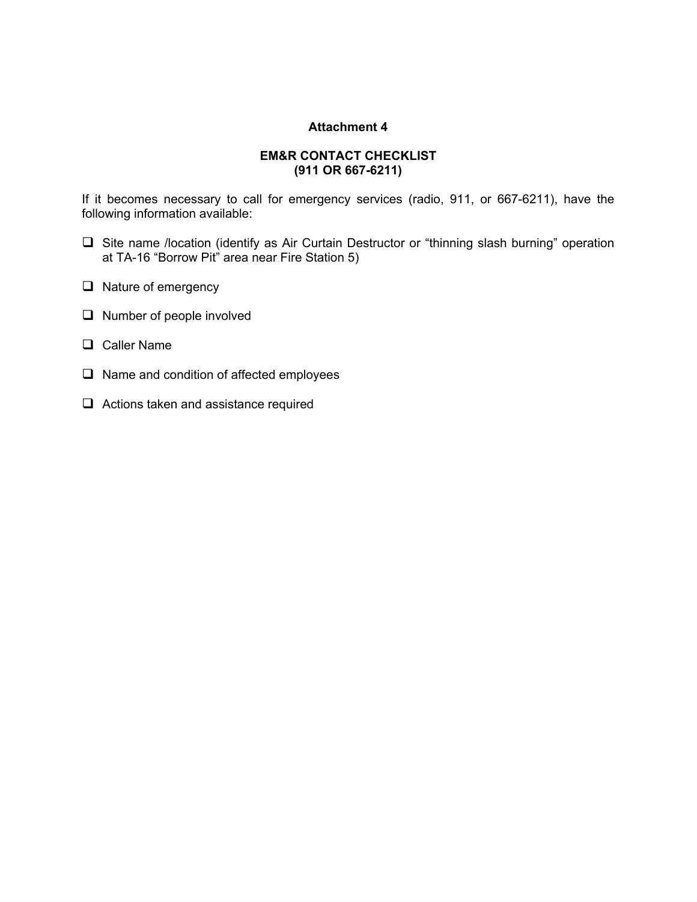#### **EM&R CONTACT CHECKLIST (911 OR 667-6211)**

If it becomes necessary to call for emergency services (radio, 911, or 667-6211), have the following information available:

- Site name /location (identify as Air Curtain Destructor or "thinning slash burning" operation at TA-16 "Borrow Pit" area near Fire Station 5)
- $\Box$  Nature of emergency
- $\Box$  Number of people involved
- **Q** Caller Name
- $\Box$  Name and condition of affected employees
- □ Actions taken and assistance required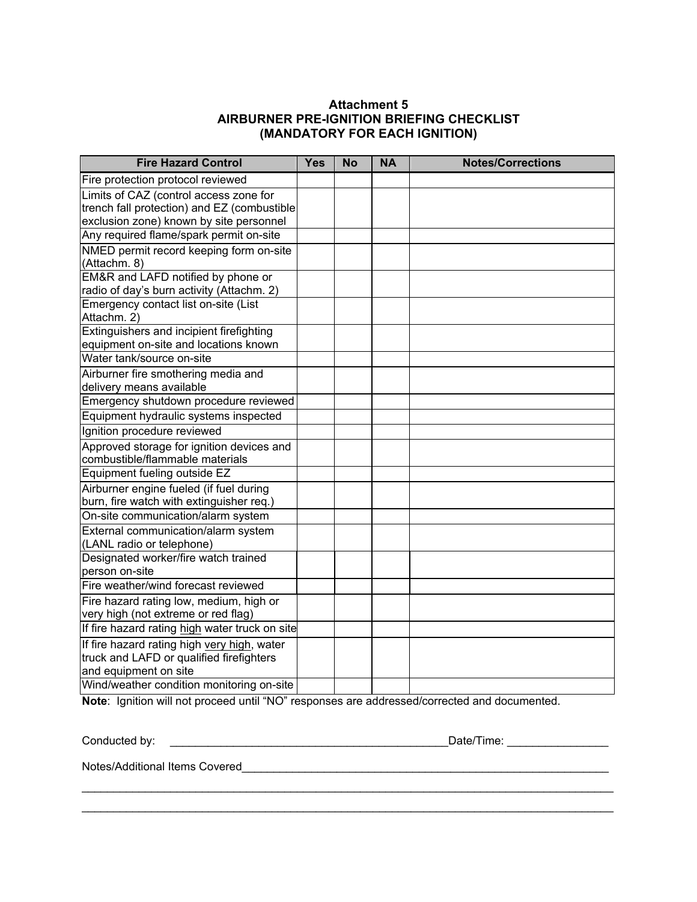# **Attachment 5 AIRBURNER PRE-IGNITION BRIEFING CHECKLIST (MANDATORY FOR EACH IGNITION)**

| <b>Fire Hazard Control</b>                                                                                                       | <b>Yes</b> | <b>No</b> | <b>NA</b> | <b>Notes/Corrections</b> |
|----------------------------------------------------------------------------------------------------------------------------------|------------|-----------|-----------|--------------------------|
| Fire protection protocol reviewed                                                                                                |            |           |           |                          |
| Limits of CAZ (control access zone for<br>trench fall protection) and EZ (combustible<br>exclusion zone) known by site personnel |            |           |           |                          |
| Any required flame/spark permit on-site                                                                                          |            |           |           |                          |
| NMED permit record keeping form on-site<br>(Attachm. 8)                                                                          |            |           |           |                          |
| EM&R and LAFD notified by phone or<br>radio of day's burn activity (Attachm. 2)                                                  |            |           |           |                          |
| Emergency contact list on-site (List<br>Attachm. 2)                                                                              |            |           |           |                          |
| Extinguishers and incipient firefighting<br>equipment on-site and locations known                                                |            |           |           |                          |
| Water tank/source on-site                                                                                                        |            |           |           |                          |
| Airburner fire smothering media and<br>delivery means available                                                                  |            |           |           |                          |
| Emergency shutdown procedure reviewed                                                                                            |            |           |           |                          |
| Equipment hydraulic systems inspected                                                                                            |            |           |           |                          |
| Ignition procedure reviewed                                                                                                      |            |           |           |                          |
| Approved storage for ignition devices and<br>combustible/flammable materials                                                     |            |           |           |                          |
| Equipment fueling outside EZ                                                                                                     |            |           |           |                          |
| Airburner engine fueled (if fuel during<br>burn, fire watch with extinguisher req.)                                              |            |           |           |                          |
| On-site communication/alarm system                                                                                               |            |           |           |                          |
| External communication/alarm system<br>(LANL radio or telephone)                                                                 |            |           |           |                          |
| Designated worker/fire watch trained<br>person on-site                                                                           |            |           |           |                          |
| Fire weather/wind forecast reviewed                                                                                              |            |           |           |                          |
| Fire hazard rating low, medium, high or<br>very high (not extreme or red flag)                                                   |            |           |           |                          |
| If fire hazard rating high water truck on site                                                                                   |            |           |           |                          |
| If fire hazard rating high very high, water<br>truck and LAFD or qualified firefighters<br>and equipment on site                 |            |           |           |                          |
| Wind/weather condition monitoring on-site                                                                                        |            |           |           |                          |

**Note**: Ignition will not proceed until "NO" responses are addressed/corrected and documented.

 $\_$  , and the set of the set of the set of the set of the set of the set of the set of the set of the set of the set of the set of the set of the set of the set of the set of the set of the set of the set of the set of th  $\_$  , and the set of the set of the set of the set of the set of the set of the set of the set of the set of the set of the set of the set of the set of the set of the set of the set of the set of the set of the set of th

| Conducted by: |  |
|---------------|--|
|---------------|--|

Conducted by: \_\_\_\_\_\_\_\_\_\_\_\_\_\_\_\_\_\_\_\_\_\_\_\_\_\_\_\_\_\_\_\_\_\_\_\_\_\_\_\_\_\_\_\_Date/Time: \_\_\_\_\_\_\_\_\_\_\_\_\_\_\_\_

Notes/Additional Items Covered\_\_\_\_\_\_\_\_\_\_\_\_\_\_\_\_\_\_\_\_\_\_\_\_\_\_\_\_\_\_\_\_\_\_\_\_\_\_\_\_\_\_\_\_\_\_\_\_\_\_\_\_\_\_\_\_\_\_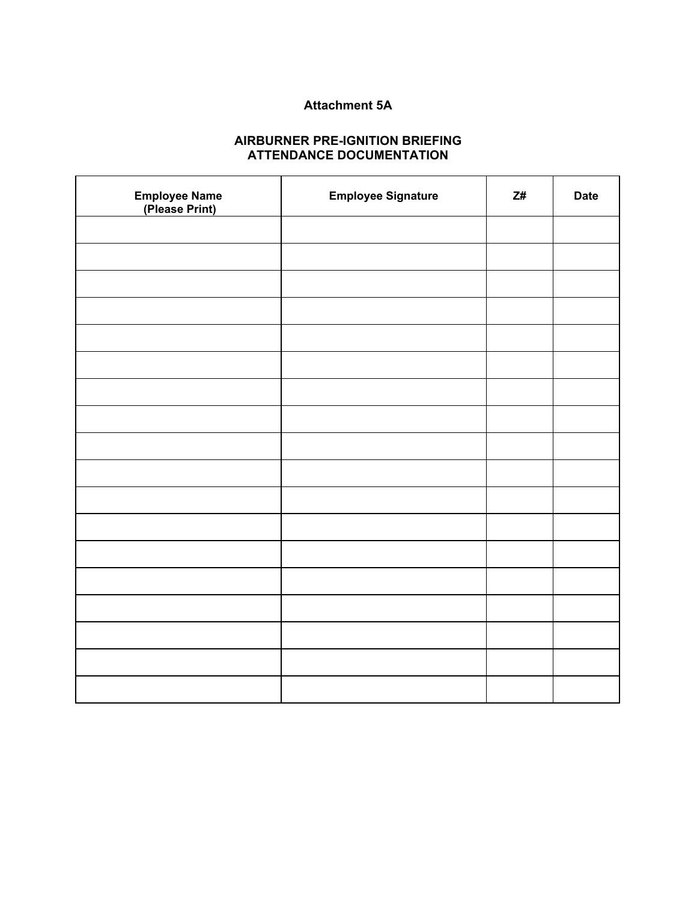# **Attachment 5A**

# **AIRBURNER PRE-IGNITION BRIEFING ATTENDANCE DOCUMENTATION**

| <b>Employee Name</b><br>(Please Print) | <b>Employee Signature</b> | Z# | <b>Date</b> |
|----------------------------------------|---------------------------|----|-------------|
|                                        |                           |    |             |
|                                        |                           |    |             |
|                                        |                           |    |             |
|                                        |                           |    |             |
|                                        |                           |    |             |
|                                        |                           |    |             |
|                                        |                           |    |             |
|                                        |                           |    |             |
|                                        |                           |    |             |
|                                        |                           |    |             |
|                                        |                           |    |             |
|                                        |                           |    |             |
|                                        |                           |    |             |
|                                        |                           |    |             |
|                                        |                           |    |             |
|                                        |                           |    |             |
|                                        |                           |    |             |
|                                        |                           |    |             |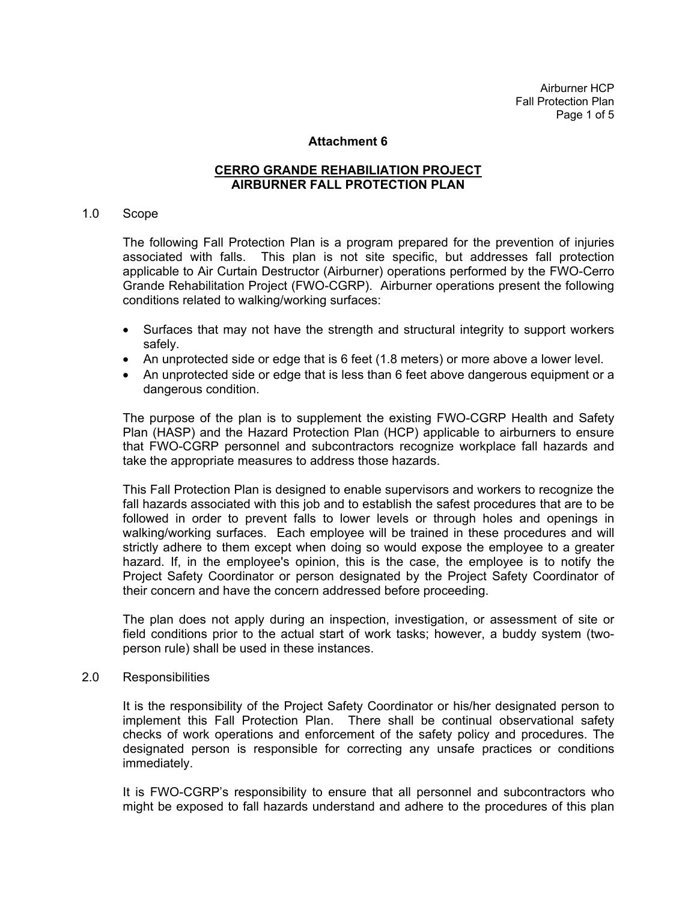Airburner HCP Fall Protection Plan Page 1 of 5

#### **Attachment 6**

#### **CERRO GRANDE REHABILIATION PROJECT AIRBURNER FALL PROTECTION PLAN**

#### 1.0 Scope

The following Fall Protection Plan is a program prepared for the prevention of injuries associated with falls. This plan is not site specific, but addresses fall protection applicable to Air Curtain Destructor (Airburner) operations performed by the FWO-Cerro Grande Rehabilitation Project (FWO-CGRP). Airburner operations present the following conditions related to walking/working surfaces:

- Surfaces that may not have the strength and structural integrity to support workers safely.
- An unprotected side or edge that is 6 feet (1.8 meters) or more above a lower level.
- An unprotected side or edge that is less than 6 feet above dangerous equipment or a dangerous condition.

The purpose of the plan is to supplement the existing FWO-CGRP Health and Safety Plan (HASP) and the Hazard Protection Plan (HCP) applicable to airburners to ensure that FWO-CGRP personnel and subcontractors recognize workplace fall hazards and take the appropriate measures to address those hazards.

This Fall Protection Plan is designed to enable supervisors and workers to recognize the fall hazards associated with this job and to establish the safest procedures that are to be followed in order to prevent falls to lower levels or through holes and openings in walking/working surfaces. Each employee will be trained in these procedures and will strictly adhere to them except when doing so would expose the employee to a greater hazard. If, in the employee's opinion, this is the case, the employee is to notify the Project Safety Coordinator or person designated by the Project Safety Coordinator of their concern and have the concern addressed before proceeding.

The plan does not apply during an inspection, investigation, or assessment of site or field conditions prior to the actual start of work tasks; however, a buddy system (twoperson rule) shall be used in these instances.

#### 2.0 Responsibilities

It is the responsibility of the Project Safety Coordinator or his/her designated person to implement this Fall Protection Plan. There shall be continual observational safety checks of work operations and enforcement of the safety policy and procedures. The designated person is responsible for correcting any unsafe practices or conditions immediately.

It is FWO-CGRP's responsibility to ensure that all personnel and subcontractors who might be exposed to fall hazards understand and adhere to the procedures of this plan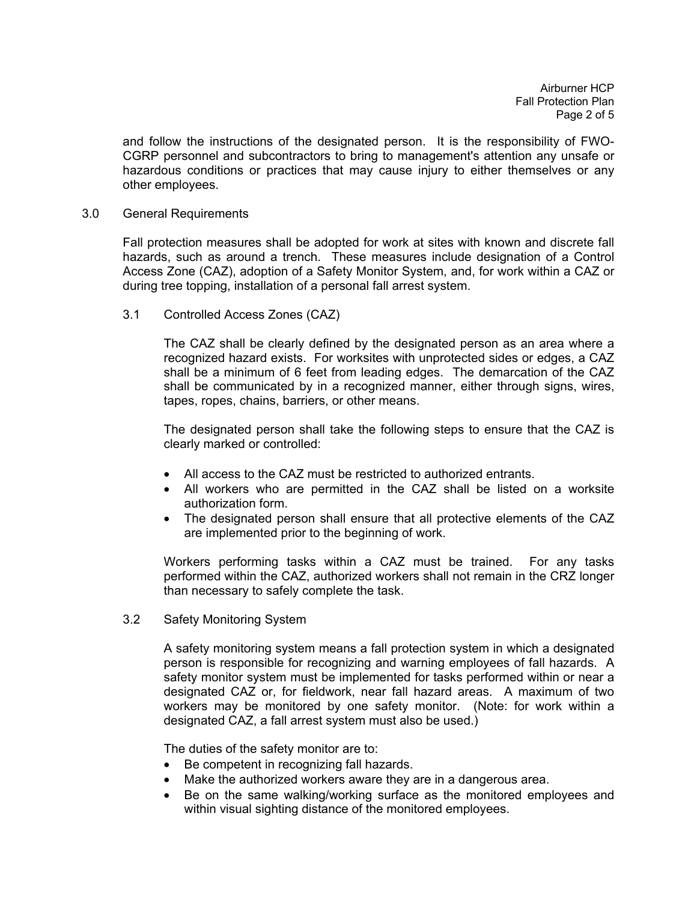Airburner HCP Fall Protection Plan Page 2 of 5

and follow the instructions of the designated person. It is the responsibility of FWO-CGRP personnel and subcontractors to bring to management's attention any unsafe or hazardous conditions or practices that may cause injury to either themselves or any other employees.

#### 3.0 General Requirements

Fall protection measures shall be adopted for work at sites with known and discrete fall hazards, such as around a trench. These measures include designation of a Control Access Zone (CAZ), adoption of a Safety Monitor System, and, for work within a CAZ or during tree topping, installation of a personal fall arrest system.

3.1 Controlled Access Zones (CAZ)

The CAZ shall be clearly defined by the designated person as an area where a recognized hazard exists. For worksites with unprotected sides or edges, a CAZ shall be a minimum of 6 feet from leading edges. The demarcation of the CAZ shall be communicated by in a recognized manner, either through signs, wires, tapes, ropes, chains, barriers, or other means.

The designated person shall take the following steps to ensure that the CAZ is clearly marked or controlled:

- All access to the CAZ must be restricted to authorized entrants.
- All workers who are permitted in the CAZ shall be listed on a worksite authorization form.
- The designated person shall ensure that all protective elements of the CAZ are implemented prior to the beginning of work.

Workers performing tasks within a CAZ must be trained. For any tasks performed within the CAZ, authorized workers shall not remain in the CRZ longer than necessary to safely complete the task.

3.2 Safety Monitoring System

A safety monitoring system means a fall protection system in which a designated person is responsible for recognizing and warning employees of fall hazards. A safety monitor system must be implemented for tasks performed within or near a designated CAZ or, for fieldwork, near fall hazard areas. A maximum of two workers may be monitored by one safety monitor. (Note: for work within a designated CAZ, a fall arrest system must also be used.)

The duties of the safety monitor are to:

- Be competent in recognizing fall hazards.
- Make the authorized workers aware they are in a dangerous area.
- Be on the same walking/working surface as the monitored employees and within visual sighting distance of the monitored employees.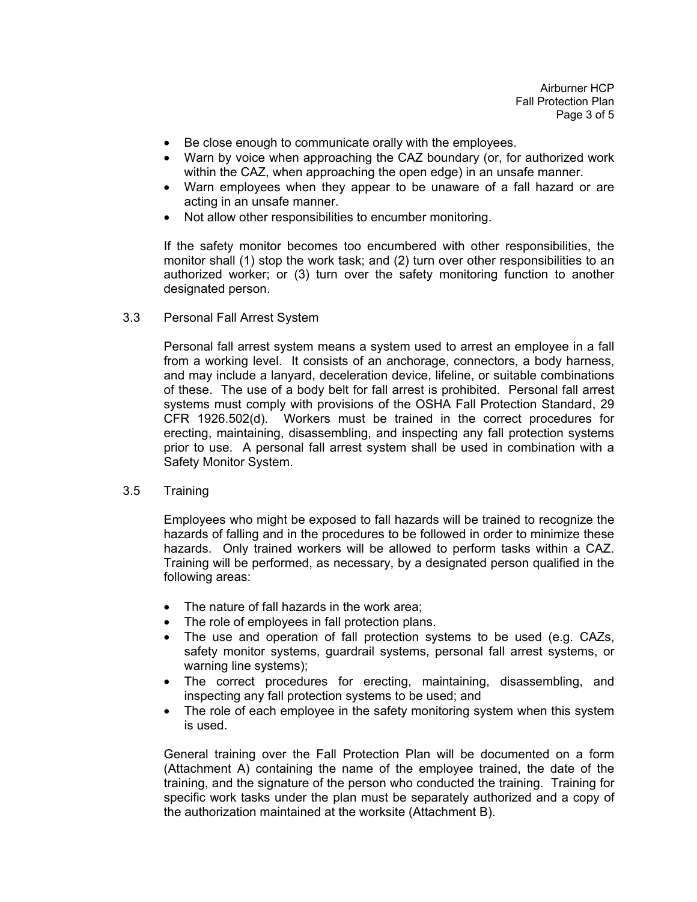Airburner HCP Fall Protection Plan Page 3 of 5

- Be close enough to communicate orally with the employees.
- Warn by voice when approaching the CAZ boundary (or, for authorized work within the CAZ, when approaching the open edge) in an unsafe manner.
- Warn employees when they appear to be unaware of a fall hazard or are acting in an unsafe manner.
- Not allow other responsibilities to encumber monitoring.

If the safety monitor becomes too encumbered with other responsibilities, the monitor shall (1) stop the work task; and (2) turn over other responsibilities to an authorized worker; or (3) turn over the safety monitoring function to another designated person.

3.3 Personal Fall Arrest System

Personal fall arrest system means a system used to arrest an employee in a fall from a working level. It consists of an anchorage, connectors, a body harness, and may include a lanyard, deceleration device, lifeline, or suitable combinations of these. The use of a body belt for fall arrest is prohibited. Personal fall arrest systems must comply with provisions of the OSHA Fall Protection Standard, 29 CFR 1926.502(d). Workers must be trained in the correct procedures for erecting, maintaining, disassembling, and inspecting any fall protection systems prior to use. A personal fall arrest system shall be used in combination with a Safety Monitor System.

3.5 Training

Employees who might be exposed to fall hazards will be trained to recognize the hazards of falling and in the procedures to be followed in order to minimize these hazards.Only trained workers will be allowed to perform tasks within a CAZ. Training will be performed, as necessary, by a designated person qualified in the following areas:

- The nature of fall hazards in the work area:
- The role of employees in fall protection plans.
- The use and operation of fall protection systems to be used (e.g. CAZs, safety monitor systems, guardrail systems, personal fall arrest systems, or warning line systems);
- The correct procedures for erecting, maintaining, disassembling, and inspecting any fall protection systems to be used; and
- The role of each employee in the safety monitoring system when this system is used.

General training over the Fall Protection Plan will be documented on a form (Attachment A) containing the name of the employee trained, the date of the training, and the signature of the person who conducted the training. Training for specific work tasks under the plan must be separately authorized and a copy of the authorization maintained at the worksite (Attachment B).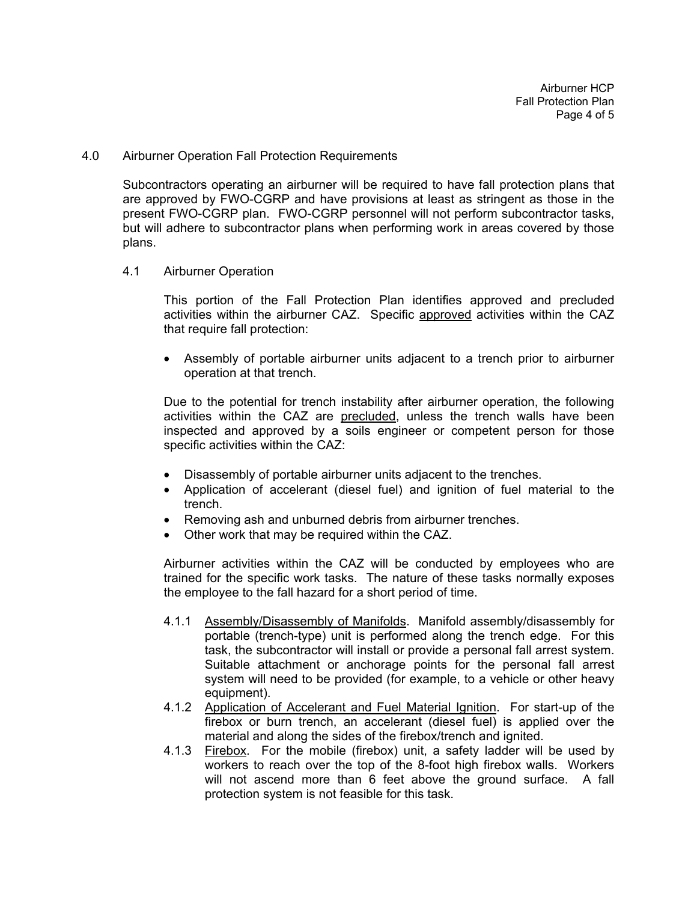4.0 Airburner Operation Fall Protection Requirements

Subcontractors operating an airburner will be required to have fall protection plans that are approved by FWO-CGRP and have provisions at least as stringent as those in the present FWO-CGRP plan. FWO-CGRP personnel will not perform subcontractor tasks, but will adhere to subcontractor plans when performing work in areas covered by those plans.

4.1 Airburner Operation

This portion of the Fall Protection Plan identifies approved and precluded activities within the airburner CAZ. Specific approved activities within the CAZ that require fall protection:

• Assembly of portable airburner units adjacent to a trench prior to airburner operation at that trench.

Due to the potential for trench instability after airburner operation, the following activities within the CAZ are precluded, unless the trench walls have been inspected and approved by a soils engineer or competent person for those specific activities within the CAZ:

- Disassembly of portable airburner units adjacent to the trenches.
- Application of accelerant (diesel fuel) and ignition of fuel material to the trench.
- Removing ash and unburned debris from airburner trenches.
- Other work that may be required within the CAZ.

Airburner activities within the CAZ will be conducted by employees who are trained for the specific work tasks. The nature of these tasks normally exposes the employee to the fall hazard for a short period of time.

- 4.1.1 Assembly/Disassembly of Manifolds. Manifold assembly/disassembly for portable (trench-type) unit is performed along the trench edge. For this task, the subcontractor will install or provide a personal fall arrest system. Suitable attachment or anchorage points for the personal fall arrest system will need to be provided (for example, to a vehicle or other heavy equipment).
- 4.1.2 Application of Accelerant and Fuel Material Ignition. For start-up of the firebox or burn trench, an accelerant (diesel fuel) is applied over the material and along the sides of the firebox/trench and ignited.
- 4.1.3 Firebox. For the mobile (firebox) unit, a safety ladder will be used by workers to reach over the top of the 8-foot high firebox walls. Workers will not ascend more than 6 feet above the ground surface. A fall protection system is not feasible for this task.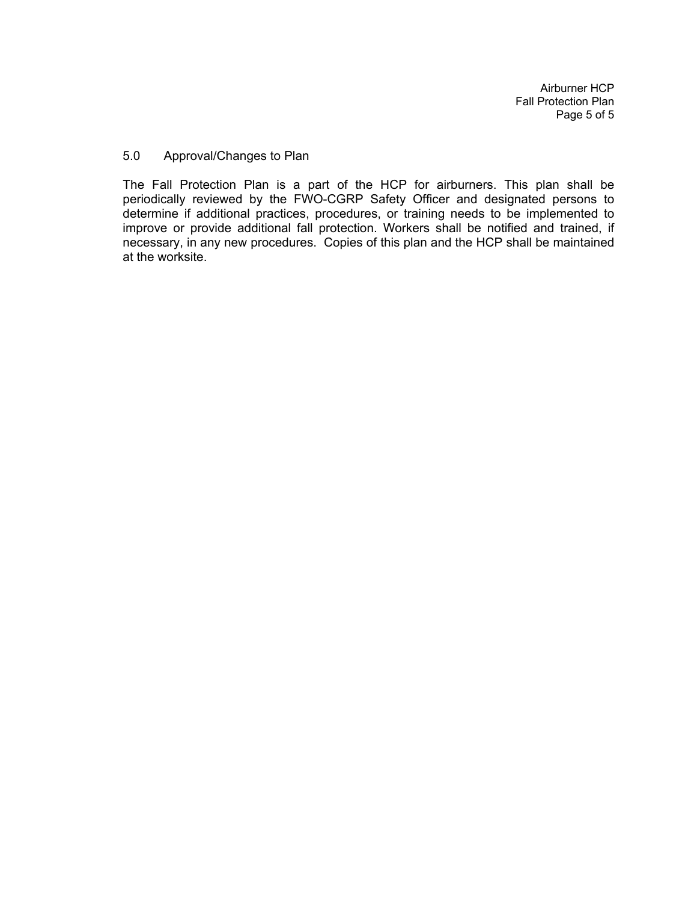Airburner HCP Fall Protection Plan Page 5 of 5

#### 5.0 Approval/Changes to Plan

The Fall Protection Plan is a part of the HCP for airburners. This plan shall be periodically reviewed by the FWO-CGRP Safety Officer and designated persons to determine if additional practices, procedures, or training needs to be implemented to improve or provide additional fall protection. Workers shall be notified and trained, if necessary, in any new procedures. Copies of this plan and the HCP shall be maintained at the worksite.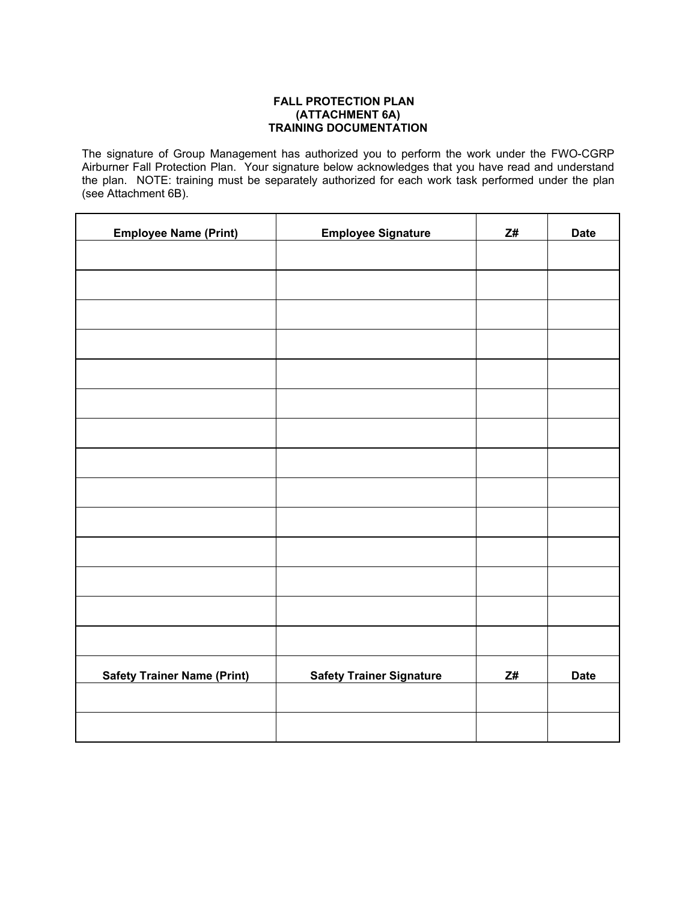#### **FALL PROTECTION PLAN (ATTACHMENT 6A) TRAINING DOCUMENTATION**

The signature of Group Management has authorized you to perform the work under the FWO-CGRP Airburner Fall Protection Plan. Your signature below acknowledges that you have read and understand the plan. NOTE: training must be separately authorized for each work task performed under the plan (see Attachment 6B).

| <b>Employee Name (Print)</b>       | <b>Employee Signature</b>       | Z#             | <b>Date</b> |
|------------------------------------|---------------------------------|----------------|-------------|
|                                    |                                 |                |             |
|                                    |                                 |                |             |
|                                    |                                 |                |             |
|                                    |                                 |                |             |
|                                    |                                 |                |             |
|                                    |                                 |                |             |
|                                    |                                 |                |             |
|                                    |                                 |                |             |
|                                    |                                 |                |             |
|                                    |                                 |                |             |
|                                    |                                 |                |             |
|                                    |                                 |                |             |
|                                    |                                 |                |             |
|                                    |                                 |                |             |
| <b>Safety Trainer Name (Print)</b> | <b>Safety Trainer Signature</b> | $\mathsf{Z}\#$ | <b>Date</b> |
|                                    |                                 |                |             |
|                                    |                                 |                |             |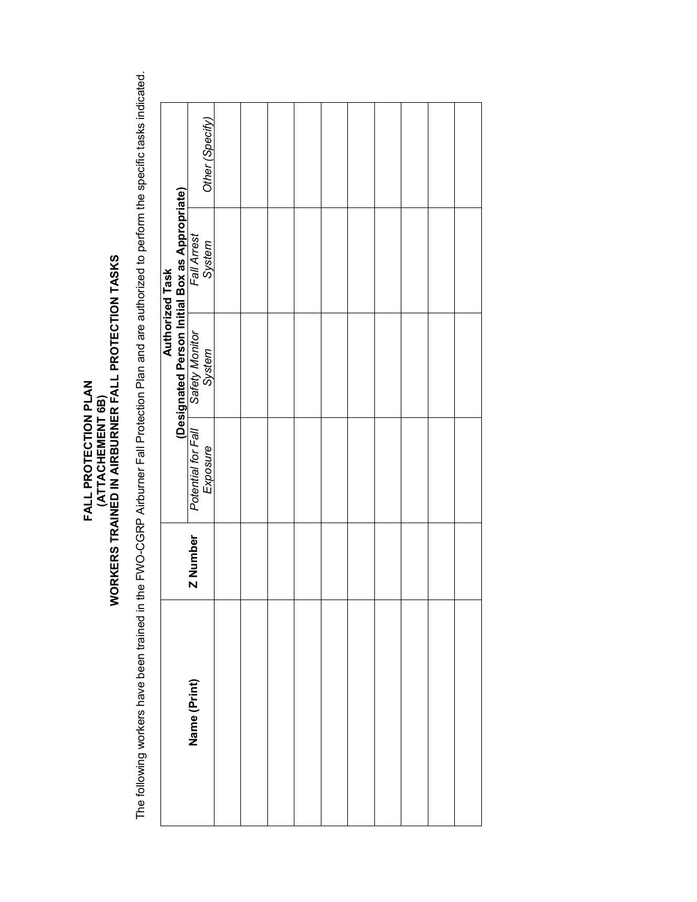# **FALL PROTECTION PLAN<br>(ATTACHEMENT 6B)**<br>WORKERS TRAINED IN AIRBURNER FALL PROTECTION TASKS **WORKERS TRAINED IN AIRBURNER FALL PROTECTION TASKS FALL PROTECTION PLAN (ATTACHEMENT 6B)**

The following workers have been trained in the FWO-CGRP Airburner Fall Protection Plan and are authorized to perform the specific tasks indicated. The following workers have been trained in the FWO-CGRP Airburner Fall Protection Plan and are authorized to perform the specific tasks indicated.

|              |                 |  | <b>Authorized Task</b>                                                                                                  |                 |
|--------------|-----------------|--|-------------------------------------------------------------------------------------------------------------------------|-----------------|
| Name (Print) | <b>Z</b> Number |  | <b>Designated Person Initial Box as Appropriate)</b><br>Potential for Fall Safety Monitor Fall Arrest Exposure System O | Other (Specify) |
|              |                 |  |                                                                                                                         |                 |
|              |                 |  |                                                                                                                         |                 |
|              |                 |  |                                                                                                                         |                 |
|              |                 |  |                                                                                                                         |                 |
|              |                 |  |                                                                                                                         |                 |
|              |                 |  |                                                                                                                         |                 |
|              |                 |  |                                                                                                                         |                 |
|              |                 |  |                                                                                                                         |                 |
|              |                 |  |                                                                                                                         |                 |
|              |                 |  |                                                                                                                         |                 |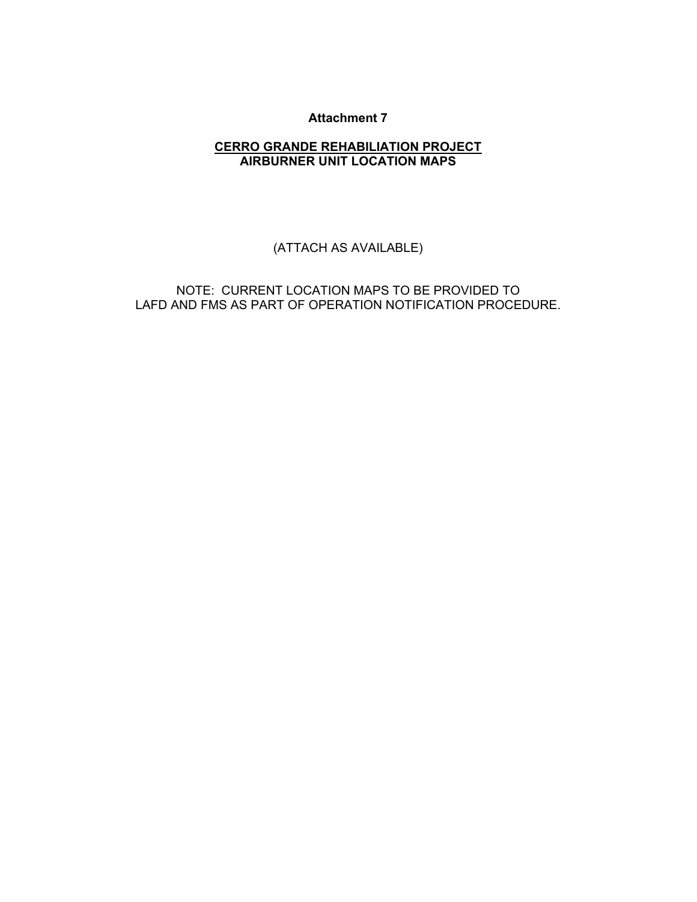# **CERRO GRANDE REHABILIATION PROJECT AIRBURNER UNIT LOCATION MAPS**

(ATTACH AS AVAILABLE)

NOTE: CURRENT LOCATION MAPS TO BE PROVIDED TO LAFD AND FMS AS PART OF OPERATION NOTIFICATION PROCEDURE.